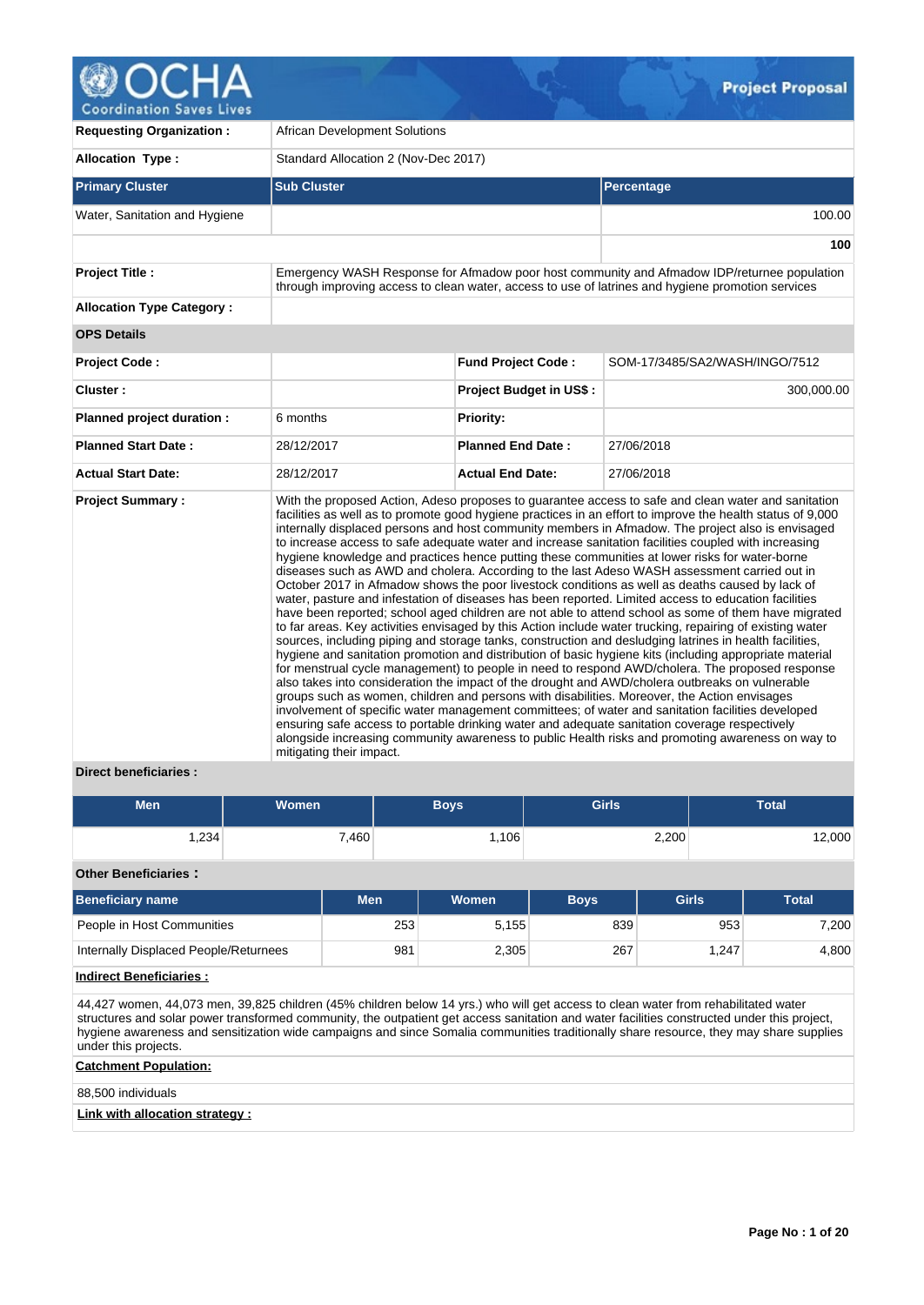

**Coordination Saves Lives** 

| <b>Requesting Organization:</b>  | <b>African Development Solutions</b>                                                                                                                                                                                                                                                                                                                                                                                                                                                                                                                                                                                                                                                                                                                                                                                                                                                                                                                                                                                                                                                                                                                                                                                                                                                                                                                                                                                                                                                                                                                                                                                                                                                                                                                                                                                                                                                                                                |                                |                                                                                                                                                                                                  |  |  |
|----------------------------------|-------------------------------------------------------------------------------------------------------------------------------------------------------------------------------------------------------------------------------------------------------------------------------------------------------------------------------------------------------------------------------------------------------------------------------------------------------------------------------------------------------------------------------------------------------------------------------------------------------------------------------------------------------------------------------------------------------------------------------------------------------------------------------------------------------------------------------------------------------------------------------------------------------------------------------------------------------------------------------------------------------------------------------------------------------------------------------------------------------------------------------------------------------------------------------------------------------------------------------------------------------------------------------------------------------------------------------------------------------------------------------------------------------------------------------------------------------------------------------------------------------------------------------------------------------------------------------------------------------------------------------------------------------------------------------------------------------------------------------------------------------------------------------------------------------------------------------------------------------------------------------------------------------------------------------------|--------------------------------|--------------------------------------------------------------------------------------------------------------------------------------------------------------------------------------------------|--|--|
| <b>Allocation Type:</b>          | Standard Allocation 2 (Nov-Dec 2017)                                                                                                                                                                                                                                                                                                                                                                                                                                                                                                                                                                                                                                                                                                                                                                                                                                                                                                                                                                                                                                                                                                                                                                                                                                                                                                                                                                                                                                                                                                                                                                                                                                                                                                                                                                                                                                                                                                |                                |                                                                                                                                                                                                  |  |  |
| <b>Primary Cluster</b>           | <b>Sub Cluster</b>                                                                                                                                                                                                                                                                                                                                                                                                                                                                                                                                                                                                                                                                                                                                                                                                                                                                                                                                                                                                                                                                                                                                                                                                                                                                                                                                                                                                                                                                                                                                                                                                                                                                                                                                                                                                                                                                                                                  |                                | <b>Percentage</b>                                                                                                                                                                                |  |  |
| Water, Sanitation and Hygiene    |                                                                                                                                                                                                                                                                                                                                                                                                                                                                                                                                                                                                                                                                                                                                                                                                                                                                                                                                                                                                                                                                                                                                                                                                                                                                                                                                                                                                                                                                                                                                                                                                                                                                                                                                                                                                                                                                                                                                     |                                | 100.00                                                                                                                                                                                           |  |  |
|                                  |                                                                                                                                                                                                                                                                                                                                                                                                                                                                                                                                                                                                                                                                                                                                                                                                                                                                                                                                                                                                                                                                                                                                                                                                                                                                                                                                                                                                                                                                                                                                                                                                                                                                                                                                                                                                                                                                                                                                     |                                | 100                                                                                                                                                                                              |  |  |
| <b>Project Title:</b>            |                                                                                                                                                                                                                                                                                                                                                                                                                                                                                                                                                                                                                                                                                                                                                                                                                                                                                                                                                                                                                                                                                                                                                                                                                                                                                                                                                                                                                                                                                                                                                                                                                                                                                                                                                                                                                                                                                                                                     |                                | Emergency WASH Response for Afmadow poor host community and Afmadow IDP/returnee population<br>through improving access to clean water, access to use of latrines and hygiene promotion services |  |  |
| <b>Allocation Type Category:</b> |                                                                                                                                                                                                                                                                                                                                                                                                                                                                                                                                                                                                                                                                                                                                                                                                                                                                                                                                                                                                                                                                                                                                                                                                                                                                                                                                                                                                                                                                                                                                                                                                                                                                                                                                                                                                                                                                                                                                     |                                |                                                                                                                                                                                                  |  |  |
| <b>OPS Details</b>               |                                                                                                                                                                                                                                                                                                                                                                                                                                                                                                                                                                                                                                                                                                                                                                                                                                                                                                                                                                                                                                                                                                                                                                                                                                                                                                                                                                                                                                                                                                                                                                                                                                                                                                                                                                                                                                                                                                                                     |                                |                                                                                                                                                                                                  |  |  |
| <b>Project Code:</b>             |                                                                                                                                                                                                                                                                                                                                                                                                                                                                                                                                                                                                                                                                                                                                                                                                                                                                                                                                                                                                                                                                                                                                                                                                                                                                                                                                                                                                                                                                                                                                                                                                                                                                                                                                                                                                                                                                                                                                     | <b>Fund Project Code:</b>      | SOM-17/3485/SA2/WASH/INGO/7512                                                                                                                                                                   |  |  |
| Cluster:                         |                                                                                                                                                                                                                                                                                                                                                                                                                                                                                                                                                                                                                                                                                                                                                                                                                                                                                                                                                                                                                                                                                                                                                                                                                                                                                                                                                                                                                                                                                                                                                                                                                                                                                                                                                                                                                                                                                                                                     | <b>Project Budget in US\$:</b> | 300,000.00                                                                                                                                                                                       |  |  |
| Planned project duration :       | 6 months                                                                                                                                                                                                                                                                                                                                                                                                                                                                                                                                                                                                                                                                                                                                                                                                                                                                                                                                                                                                                                                                                                                                                                                                                                                                                                                                                                                                                                                                                                                                                                                                                                                                                                                                                                                                                                                                                                                            | <b>Priority:</b>               |                                                                                                                                                                                                  |  |  |
| <b>Planned Start Date:</b>       | 28/12/2017                                                                                                                                                                                                                                                                                                                                                                                                                                                                                                                                                                                                                                                                                                                                                                                                                                                                                                                                                                                                                                                                                                                                                                                                                                                                                                                                                                                                                                                                                                                                                                                                                                                                                                                                                                                                                                                                                                                          | <b>Planned End Date:</b>       | 27/06/2018                                                                                                                                                                                       |  |  |
| <b>Actual Start Date:</b>        | 28/12/2017                                                                                                                                                                                                                                                                                                                                                                                                                                                                                                                                                                                                                                                                                                                                                                                                                                                                                                                                                                                                                                                                                                                                                                                                                                                                                                                                                                                                                                                                                                                                                                                                                                                                                                                                                                                                                                                                                                                          | <b>Actual End Date:</b>        | 27/06/2018                                                                                                                                                                                       |  |  |
| <b>Project Summary:</b>          | With the proposed Action, Adeso proposes to guarantee access to safe and clean water and sanitation<br>facilities as well as to promote good hygiene practices in an effort to improve the health status of 9,000<br>internally displaced persons and host community members in Afmadow. The project also is envisaged<br>to increase access to safe adequate water and increase sanitation facilities coupled with increasing<br>hygiene knowledge and practices hence putting these communities at lower risks for water-borne<br>diseases such as AWD and cholera. According to the last Adeso WASH assessment carried out in<br>October 2017 in Afmadow shows the poor livestock conditions as well as deaths caused by lack of<br>water, pasture and infestation of diseases has been reported. Limited access to education facilities<br>have been reported; school aged children are not able to attend school as some of them have migrated<br>to far areas. Key activities envisaged by this Action include water trucking, repairing of existing water<br>sources, including piping and storage tanks, construction and desludging latrines in health facilities,<br>hygiene and sanitation promotion and distribution of basic hygiene kits (including appropriate material<br>for menstrual cycle management) to people in need to respond AWD/cholera. The proposed response<br>also takes into consideration the impact of the drought and AWD/cholera outbreaks on vulnerable<br>groups such as women, children and persons with disabilities. Moreover, the Action envisages<br>involvement of specific water management committees; of water and sanitation facilities developed<br>ensuring safe access to portable drinking water and adequate sanitation coverage respectively<br>alongside increasing community awareness to public Health risks and promoting awareness on way to<br>mitigating their impact. |                                |                                                                                                                                                                                                  |  |  |

# **Direct beneficiaries :**

| <b>Men</b> | <b>Women</b> | Boys' | <b>Girls</b> | Total  |
|------------|--------------|-------|--------------|--------|
| .234       | 7,460        | .106  | 2,200        | 12,000 |

# **Other Beneficiaries :**

| Beneficiary name                      | <b>Men</b> | Women | <b>Boys</b> | Girls | <b>Total</b> |  |
|---------------------------------------|------------|-------|-------------|-------|--------------|--|
| People in Host Communities            | 253        | 5.155 | 839         | 953   | 7.200        |  |
| Internally Displaced People/Returnees | 981        | 2,305 | 267         | 1.247 | 4.800        |  |

# **Indirect Beneficiaries :**

44,427 women, 44,073 men, 39,825 children (45% children below 14 yrs.) who will get access to clean water from rehabilitated water structures and solar power transformed community, the outpatient get access sanitation and water facilities constructed under this project, hygiene awareness and sensitization wide campaigns and since Somalia communities traditionally share resource, they may share supplies under this projects.

# **Catchment Population:**

88,500 individuals

# **Link with allocation strategy :**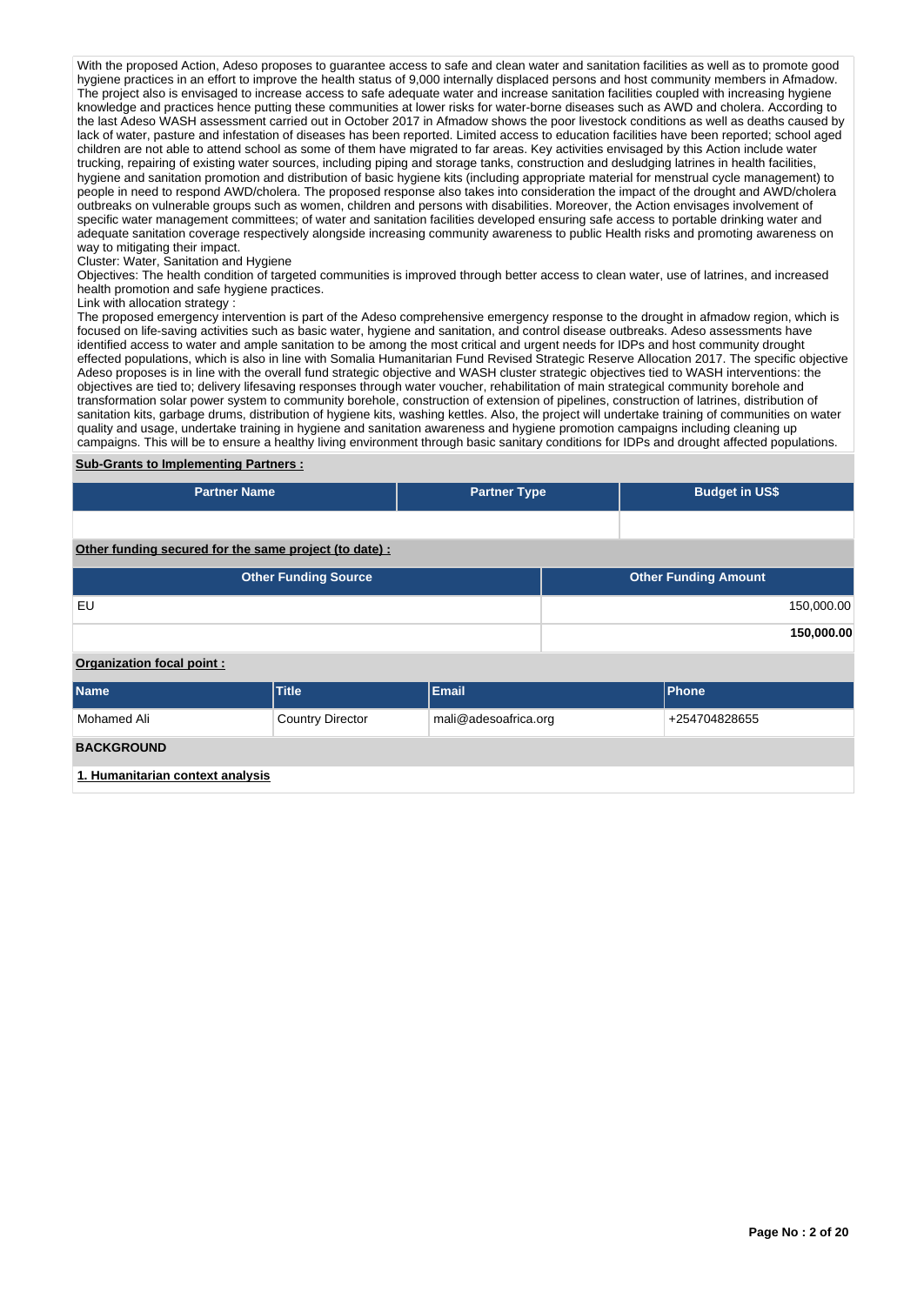With the proposed Action, Adeso proposes to guarantee access to safe and clean water and sanitation facilities as well as to promote good hygiene practices in an effort to improve the health status of 9,000 internally displaced persons and host community members in Afmadow. The project also is envisaged to increase access to safe adequate water and increase sanitation facilities coupled with increasing hygiene knowledge and practices hence putting these communities at lower risks for water-borne diseases such as AWD and cholera. According to the last Adeso WASH assessment carried out in October 2017 in Afmadow shows the poor livestock conditions as well as deaths caused by lack of water, pasture and infestation of diseases has been reported. Limited access to education facilities have been reported; school aged children are not able to attend school as some of them have migrated to far areas. Key activities envisaged by this Action include water trucking, repairing of existing water sources, including piping and storage tanks, construction and desludging latrines in health facilities, hygiene and sanitation promotion and distribution of basic hygiene kits (including appropriate material for menstrual cycle management) to people in need to respond AWD/cholera. The proposed response also takes into consideration the impact of the drought and AWD/cholera outbreaks on vulnerable groups such as women, children and persons with disabilities. Moreover, the Action envisages involvement of specific water management committees; of water and sanitation facilities developed ensuring safe access to portable drinking water and adequate sanitation coverage respectively alongside increasing community awareness to public Health risks and promoting awareness on way to mitigating their impact.

#### Cluster: Water, Sanitation and Hygiene

Objectives: The health condition of targeted communities is improved through better access to clean water, use of latrines, and increased health promotion and safe hygiene practices.

#### Link with allocation strategy :

The proposed emergency intervention is part of the Adeso comprehensive emergency response to the drought in afmadow region, which is focused on life-saving activities such as basic water, hygiene and sanitation, and control disease outbreaks. Adeso assessments have identified access to water and ample sanitation to be among the most critical and urgent needs for IDPs and host community drought effected populations, which is also in line with Somalia Humanitarian Fund Revised Strategic Reserve Allocation 2017. The specific objective Adeso proposes is in line with the overall fund strategic objective and WASH cluster strategic objectives tied to WASH interventions: the objectives are tied to; delivery lifesaving responses through water voucher, rehabilitation of main strategical community borehole and transformation solar power system to community borehole, construction of extension of pipelines, construction of latrines, distribution of sanitation kits, garbage drums, distribution of hygiene kits, washing kettles. Also, the project will undertake training of communities on water quality and usage, undertake training in hygiene and sanitation awareness and hygiene promotion campaigns including cleaning up campaigns. This will be to ensure a healthy living environment through basic sanitary conditions for IDPs and drought affected populations.

# **Sub-Grants to Implementing Partners :**

| <b>Partner Name</b>                                   | <b>Partner Type</b> | <b>Budget in US\$</b> |
|-------------------------------------------------------|---------------------|-----------------------|
|                                                       |                     |                       |
| Other funding secured for the same project (to date): |                     |                       |

| <b>Other Funding Source</b> | <b>Other Funding Amount</b> |
|-----------------------------|-----------------------------|
| EU                          | 150,000.00                  |
|                             | 150,000.00                  |
| Organization focal point:   |                             |

| <b>Name</b>                      | <b>Title</b>            | Email                | <b>Phone</b>  |  |  |  |  |  |
|----------------------------------|-------------------------|----------------------|---------------|--|--|--|--|--|
| Mohamed Ali                      | <b>Country Director</b> | mali@adesoafrica.org | +254704828655 |  |  |  |  |  |
| <b>BACKGROUND</b>                |                         |                      |               |  |  |  |  |  |
| 1. Humanitarian context analysis |                         |                      |               |  |  |  |  |  |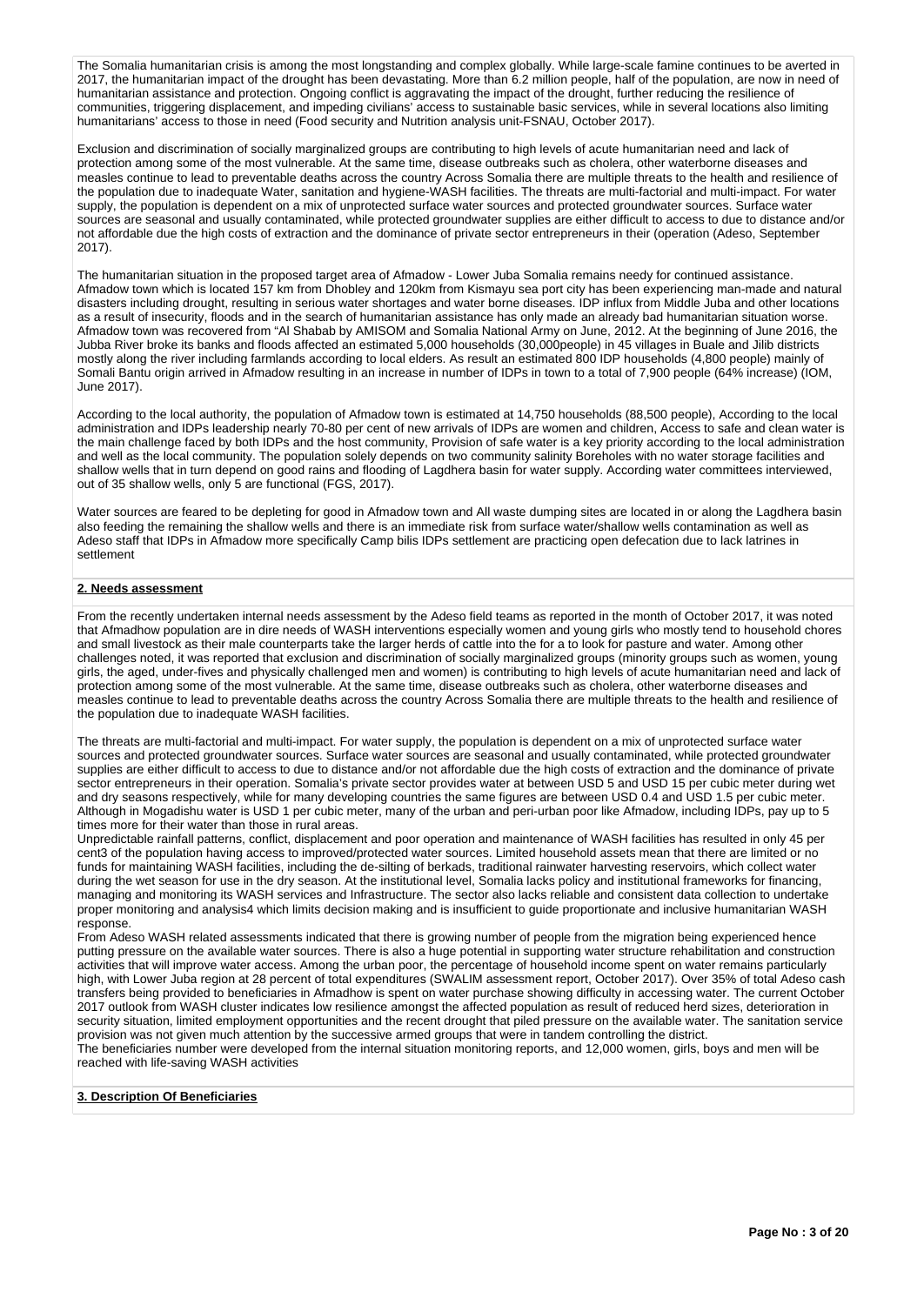The Somalia humanitarian crisis is among the most longstanding and complex globally. While large-scale famine continues to be averted in 2017, the humanitarian impact of the drought has been devastating. More than 6.2 million people, half of the population, are now in need of humanitarian assistance and protection. Ongoing conflict is aggravating the impact of the drought, further reducing the resilience of communities, triggering displacement, and impeding civilians' access to sustainable basic services, while in several locations also limiting humanitarians' access to those in need (Food security and Nutrition analysis unit-FSNAU, October 2017).

Exclusion and discrimination of socially marginalized groups are contributing to high levels of acute humanitarian need and lack of protection among some of the most vulnerable. At the same time, disease outbreaks such as cholera, other waterborne diseases and measles continue to lead to preventable deaths across the country Across Somalia there are multiple threats to the health and resilience of the population due to inadequate Water, sanitation and hygiene-WASH facilities. The threats are multi-factorial and multi-impact. For water supply, the population is dependent on a mix of unprotected surface water sources and protected groundwater sources. Surface water sources are seasonal and usually contaminated, while protected groundwater supplies are either difficult to access to due to distance and/or not affordable due the high costs of extraction and the dominance of private sector entrepreneurs in their (operation (Adeso, September 2017).

The humanitarian situation in the proposed target area of Afmadow - Lower Juba Somalia remains needy for continued assistance. Afmadow town which is located 157 km from Dhobley and 120km from Kismayu sea port city has been experiencing man-made and natural disasters including drought, resulting in serious water shortages and water borne diseases. IDP influx from Middle Juba and other locations as a result of insecurity, floods and in the search of humanitarian assistance has only made an already bad humanitarian situation worse. Afmadow town was recovered from "Al Shabab by AMISOM and Somalia National Army on June, 2012. At the beginning of June 2016, the Jubba River broke its banks and floods affected an estimated 5,000 households (30,000people) in 45 villages in Buale and Jilib districts mostly along the river including farmlands according to local elders. As result an estimated 800 IDP households (4,800 people) mainly of Somali Bantu origin arrived in Afmadow resulting in an increase in number of IDPs in town to a total of 7,900 people (64% increase) (IOM, June 2017).

According to the local authority, the population of Afmadow town is estimated at 14,750 households (88,500 people), According to the local administration and IDPs leadership nearly 70-80 per cent of new arrivals of IDPs are women and children, Access to safe and clean water is the main challenge faced by both IDPs and the host community, Provision of safe water is a key priority according to the local administration and well as the local community. The population solely depends on two community salinity Boreholes with no water storage facilities and shallow wells that in turn depend on good rains and flooding of Lagdhera basin for water supply. According water committees interviewed, out of 35 shallow wells, only 5 are functional (FGS, 2017).

Water sources are feared to be depleting for good in Afmadow town and All waste dumping sites are located in or along the Lagdhera basin also feeding the remaining the shallow wells and there is an immediate risk from surface water/shallow wells contamination as well as Adeso staff that IDPs in Afmadow more specifically Camp bilis IDPs settlement are practicing open defecation due to lack latrines in settlement

# **2. Needs assessment**

From the recently undertaken internal needs assessment by the Adeso field teams as reported in the month of October 2017, it was noted that Afmadhow population are in dire needs of WASH interventions especially women and young girls who mostly tend to household chores and small livestock as their male counterparts take the larger herds of cattle into the for a to look for pasture and water. Among other challenges noted, it was reported that exclusion and discrimination of socially marginalized groups (minority groups such as women, young girls, the aged, under-fives and physically challenged men and women) is contributing to high levels of acute humanitarian need and lack of protection among some of the most vulnerable. At the same time, disease outbreaks such as cholera, other waterborne diseases and measles continue to lead to preventable deaths across the country Across Somalia there are multiple threats to the health and resilience of the population due to inadequate WASH facilities.

The threats are multi-factorial and multi-impact. For water supply, the population is dependent on a mix of unprotected surface water sources and protected groundwater sources. Surface water sources are seasonal and usually contaminated, while protected groundwater supplies are either difficult to access to due to distance and/or not affordable due the high costs of extraction and the dominance of private sector entrepreneurs in their operation. Somalia's private sector provides water at between USD 5 and USD 15 per cubic meter during wet and dry seasons respectively, while for many developing countries the same figures are between USD 0.4 and USD 1.5 per cubic meter. Although in Mogadishu water is USD 1 per cubic meter, many of the urban and peri-urban poor like Afmadow, including IDPs, pay up to 5 times more for their water than those in rural areas.

Unpredictable rainfall patterns, conflict, displacement and poor operation and maintenance of WASH facilities has resulted in only 45 per cent3 of the population having access to improved/protected water sources. Limited household assets mean that there are limited or no funds for maintaining WASH facilities, including the de-silting of berkads, traditional rainwater harvesting reservoirs, which collect water during the wet season for use in the dry season. At the institutional level, Somalia lacks policy and institutional frameworks for financing, managing and monitoring its WASH services and Infrastructure. The sector also lacks reliable and consistent data collection to undertake proper monitoring and analysis4 which limits decision making and is insufficient to guide proportionate and inclusive humanitarian WASH response.

From Adeso WASH related assessments indicated that there is growing number of people from the migration being experienced hence putting pressure on the available water sources. There is also a huge potential in supporting water structure rehabilitation and construction activities that will improve water access. Among the urban poor, the percentage of household income spent on water remains particularly high, with Lower Juba region at 28 percent of total expenditures (SWALIM assessment report, October 2017). Over 35% of total Adeso cash transfers being provided to beneficiaries in Afmadhow is spent on water purchase showing difficulty in accessing water. The current October 2017 outlook from WASH cluster indicates low resilience amongst the affected population as result of reduced herd sizes, deterioration in security situation, limited employment opportunities and the recent drought that piled pressure on the available water. The sanitation service provision was not given much attention by the successive armed groups that were in tandem controlling the district.

The beneficiaries number were developed from the internal situation monitoring reports, and 12,000 women, girls, boys and men will be reached with life-saving WASH activities

# **3. Description Of Beneficiaries**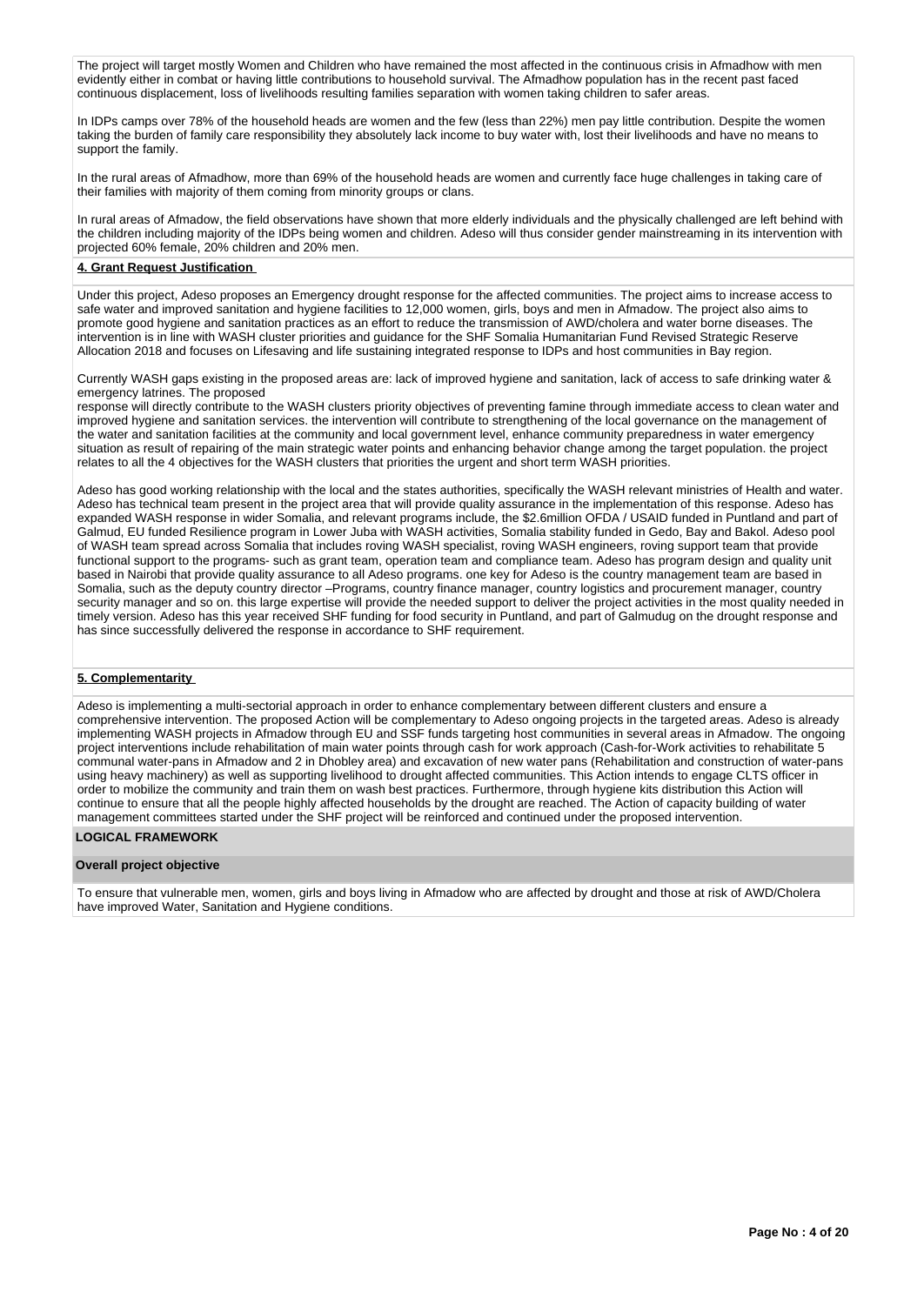The project will target mostly Women and Children who have remained the most affected in the continuous crisis in Afmadhow with men evidently either in combat or having little contributions to household survival. The Afmadhow population has in the recent past faced continuous displacement, loss of livelihoods resulting families separation with women taking children to safer areas.

In IDPs camps over 78% of the household heads are women and the few (less than 22%) men pay little contribution. Despite the women taking the burden of family care responsibility they absolutely lack income to buy water with, lost their livelihoods and have no means to support the family.

In the rural areas of Afmadhow, more than 69% of the household heads are women and currently face huge challenges in taking care of their families with majority of them coming from minority groups or clans.

In rural areas of Afmadow, the field observations have shown that more elderly individuals and the physically challenged are left behind with the children including majority of the IDPs being women and children. Adeso will thus consider gender mainstreaming in its intervention with projected 60% female, 20% children and 20% men.

### **4. Grant Request Justification**

Under this project, Adeso proposes an Emergency drought response for the affected communities. The project aims to increase access to safe water and improved sanitation and hygiene facilities to 12,000 women, girls, boys and men in Afmadow. The project also aims to promote good hygiene and sanitation practices as an effort to reduce the transmission of AWD/cholera and water borne diseases. The intervention is in line with WASH cluster priorities and guidance for the SHF Somalia Humanitarian Fund Revised Strategic Reserve Allocation 2018 and focuses on Lifesaving and life sustaining integrated response to IDPs and host communities in Bay region.

Currently WASH gaps existing in the proposed areas are: lack of improved hygiene and sanitation, lack of access to safe drinking water & emergency latrines. The proposed

response will directly contribute to the WASH clusters priority objectives of preventing famine through immediate access to clean water and improved hygiene and sanitation services. the intervention will contribute to strengthening of the local governance on the management of the water and sanitation facilities at the community and local government level, enhance community preparedness in water emergency situation as result of repairing of the main strategic water points and enhancing behavior change among the target population. the project relates to all the 4 objectives for the WASH clusters that priorities the urgent and short term WASH priorities.

Adeso has good working relationship with the local and the states authorities, specifically the WASH relevant ministries of Health and water. Adeso has technical team present in the project area that will provide quality assurance in the implementation of this response. Adeso has expanded WASH response in wider Somalia, and relevant programs include, the \$2.6million OFDA / USAID funded in Puntland and part of Galmud, EU funded Resilience program in Lower Juba with WASH activities, Somalia stability funded in Gedo, Bay and Bakol. Adeso pool of WASH team spread across Somalia that includes roving WASH specialist, roving WASH engineers, roving support team that provide functional support to the programs- such as grant team, operation team and compliance team. Adeso has program design and quality unit based in Nairobi that provide quality assurance to all Adeso programs. one key for Adeso is the country management team are based in Somalia, such as the deputy country director –Programs, country finance manager, country logistics and procurement manager, country security manager and so on. this large expertise will provide the needed support to deliver the project activities in the most quality needed in timely version. Adeso has this year received SHF funding for food security in Puntland, and part of Galmudug on the drought response and has since successfully delivered the response in accordance to SHF requirement.

# **5. Complementarity**

Adeso is implementing a multi-sectorial approach in order to enhance complementary between different clusters and ensure a comprehensive intervention. The proposed Action will be complementary to Adeso ongoing projects in the targeted areas. Adeso is already implementing WASH projects in Afmadow through EU and SSF funds targeting host communities in several areas in Afmadow. The ongoing project interventions include rehabilitation of main water points through cash for work approach (Cash-for-Work activities to rehabilitate 5 communal water-pans in Afmadow and 2 in Dhobley area) and excavation of new water pans (Rehabilitation and construction of water-pans using heavy machinery) as well as supporting livelihood to drought affected communities. This Action intends to engage CLTS officer in order to mobilize the community and train them on wash best practices. Furthermore, through hygiene kits distribution this Action will continue to ensure that all the people highly affected households by the drought are reached. The Action of capacity building of water management committees started under the SHF project will be reinforced and continued under the proposed intervention.

# **LOGICAL FRAMEWORK**

# **Overall project objective**

To ensure that vulnerable men, women, girls and boys living in Afmadow who are affected by drought and those at risk of AWD/Cholera have improved Water, Sanitation and Hygiene conditions.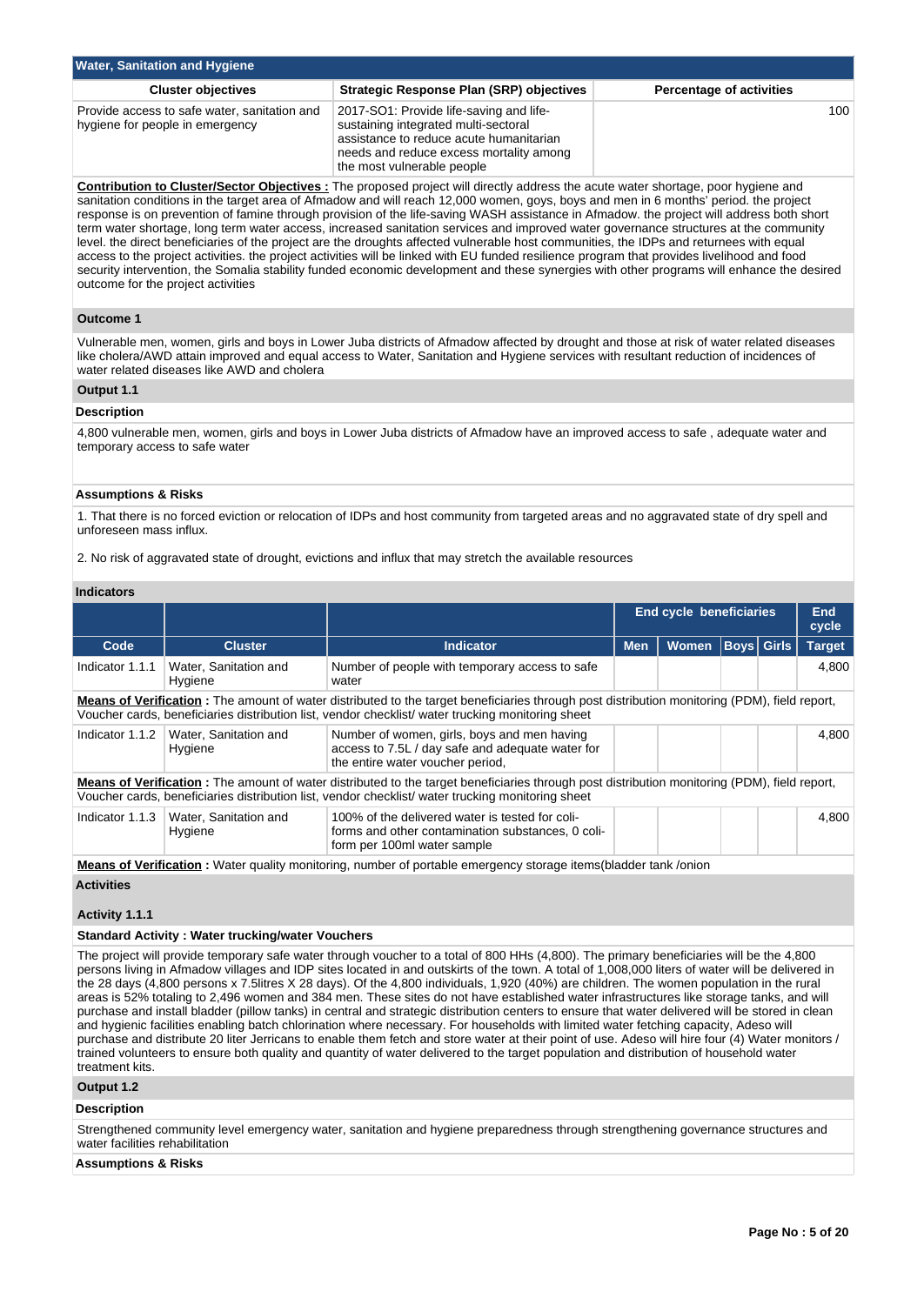| <b>Water, Sanitation and Hygiene</b>                                            |                                                                                                                                                                                                     |                                 |  |  |  |  |  |  |
|---------------------------------------------------------------------------------|-----------------------------------------------------------------------------------------------------------------------------------------------------------------------------------------------------|---------------------------------|--|--|--|--|--|--|
| <b>Cluster objectives</b>                                                       | Strategic Response Plan (SRP) objectives                                                                                                                                                            | <b>Percentage of activities</b> |  |  |  |  |  |  |
| Provide access to safe water, sanitation and<br>hygiene for people in emergency | 2017-SO1: Provide life-saving and life-<br>sustaining integrated multi-sectoral<br>assistance to reduce acute humanitarian<br>needs and reduce excess mortality among<br>the most vulnerable people | 100 <sup>1</sup>                |  |  |  |  |  |  |

**Contribution to Cluster/Sector Objectives :** The proposed project will directly address the acute water shortage, poor hygiene and sanitation conditions in the target area of Afmadow and will reach 12,000 women, goys, boys and men in 6 months' period. the project response is on prevention of famine through provision of the life-saving WASH assistance in Afmadow. the project will address both short term water shortage, long term water access, increased sanitation services and improved water governance structures at the community level. the direct beneficiaries of the project are the droughts affected vulnerable host communities, the IDPs and returnees with equal access to the project activities. the project activities will be linked with EU funded resilience program that provides livelihood and food security intervention, the Somalia stability funded economic development and these synergies with other programs will enhance the desired outcome for the project activities

# **Outcome 1**

Vulnerable men, women, girls and boys in Lower Juba districts of Afmadow affected by drought and those at risk of water related diseases like cholera/AWD attain improved and equal access to Water, Sanitation and Hygiene services with resultant reduction of incidences of water related diseases like AWD and cholera

### **Output 1.1**

# **Description**

4,800 vulnerable men, women, girls and boys in Lower Juba districts of Afmadow have an improved access to safe , adequate water and temporary access to safe water

#### **Assumptions & Risks**

1. That there is no forced eviction or relocation of IDPs and host community from targeted areas and no aggravated state of dry spell and unforeseen mass influx.

2. No risk of aggravated state of drought, evictions and influx that may stretch the available resources

### **Indicators**

|                                                                                                                                                                                                                                                           |                                                                                                               |                                                                                                                                     | <b>End cycle beneficiaries</b> |              |  | <b>End</b><br>cycle |               |  |
|-----------------------------------------------------------------------------------------------------------------------------------------------------------------------------------------------------------------------------------------------------------|---------------------------------------------------------------------------------------------------------------|-------------------------------------------------------------------------------------------------------------------------------------|--------------------------------|--------------|--|---------------------|---------------|--|
| Code                                                                                                                                                                                                                                                      | <b>Cluster</b>                                                                                                | <b>Indicator</b>                                                                                                                    | <b>Men</b>                     | <b>Women</b> |  | <b>Boys Girls</b>   | <b>Target</b> |  |
| Indicator 1.1.1                                                                                                                                                                                                                                           | Water, Sanitation and<br>Hygiene                                                                              | Number of people with temporary access to safe<br>water                                                                             |                                |              |  |                     | 4.800         |  |
| <b>Means of Verification</b> : The amount of water distributed to the target beneficiaries through post distribution monitoring (PDM), field report,<br>Voucher cards, beneficiaries distribution list, vendor checklist/ water trucking monitoring sheet |                                                                                                               |                                                                                                                                     |                                |              |  |                     |               |  |
| Indicator 1.1.2                                                                                                                                                                                                                                           | Water, Sanitation and<br>Hygiene                                                                              | Number of women, girls, boys and men having<br>access to 7.5L / day safe and adequate water for<br>the entire water voucher period, |                                |              |  |                     | 4,800         |  |
| Means of Verification: The amount of water distributed to the target beneficiaries through post distribution monitoring (PDM), field report,<br>Voucher cards, beneficiaries distribution list, vendor checklist/ water trucking monitoring sheet         |                                                                                                               |                                                                                                                                     |                                |              |  |                     |               |  |
| Indicator 1.1.3                                                                                                                                                                                                                                           | Water, Sanitation and<br>Hygiene                                                                              | 100% of the delivered water is tested for coli-<br>forms and other contamination substances, 0 coli-<br>form per 100ml water sample |                                |              |  |                     | 4,800         |  |
|                                                                                                                                                                                                                                                           | Means of Verification Mater quality monitoring number of portable emergency storage items(bladder tank /onion |                                                                                                                                     |                                |              |  |                     |               |  |

**Means of Verification :** Water quality monitoring, number of portable emergency storage items(bladder tank /onion

#### **Activities**

# **Activity 1.1.1**

#### **Standard Activity : Water trucking/water Vouchers**

The project will provide temporary safe water through voucher to a total of 800 HHs (4,800). The primary beneficiaries will be the 4,800 persons living in Afmadow villages and IDP sites located in and outskirts of the town. A total of 1,008,000 liters of water will be delivered in the 28 days (4,800 persons x 7.5litres X 28 days). Of the 4,800 individuals, 1,920 (40%) are children. The women population in the rural areas is 52% totaling to 2,496 women and 384 men. These sites do not have established water infrastructures like storage tanks, and will purchase and install bladder (pillow tanks) in central and strategic distribution centers to ensure that water delivered will be stored in clean and hygienic facilities enabling batch chlorination where necessary. For households with limited water fetching capacity, Adeso will purchase and distribute 20 liter Jerricans to enable them fetch and store water at their point of use. Adeso will hire four (4) Water monitors / trained volunteers to ensure both quality and quantity of water delivered to the target population and distribution of household water treatment kits.

# **Output 1.2**

#### **Description**

Strengthened community level emergency water, sanitation and hygiene preparedness through strengthening governance structures and water facilities rehabilitation

#### **Assumptions & Risks**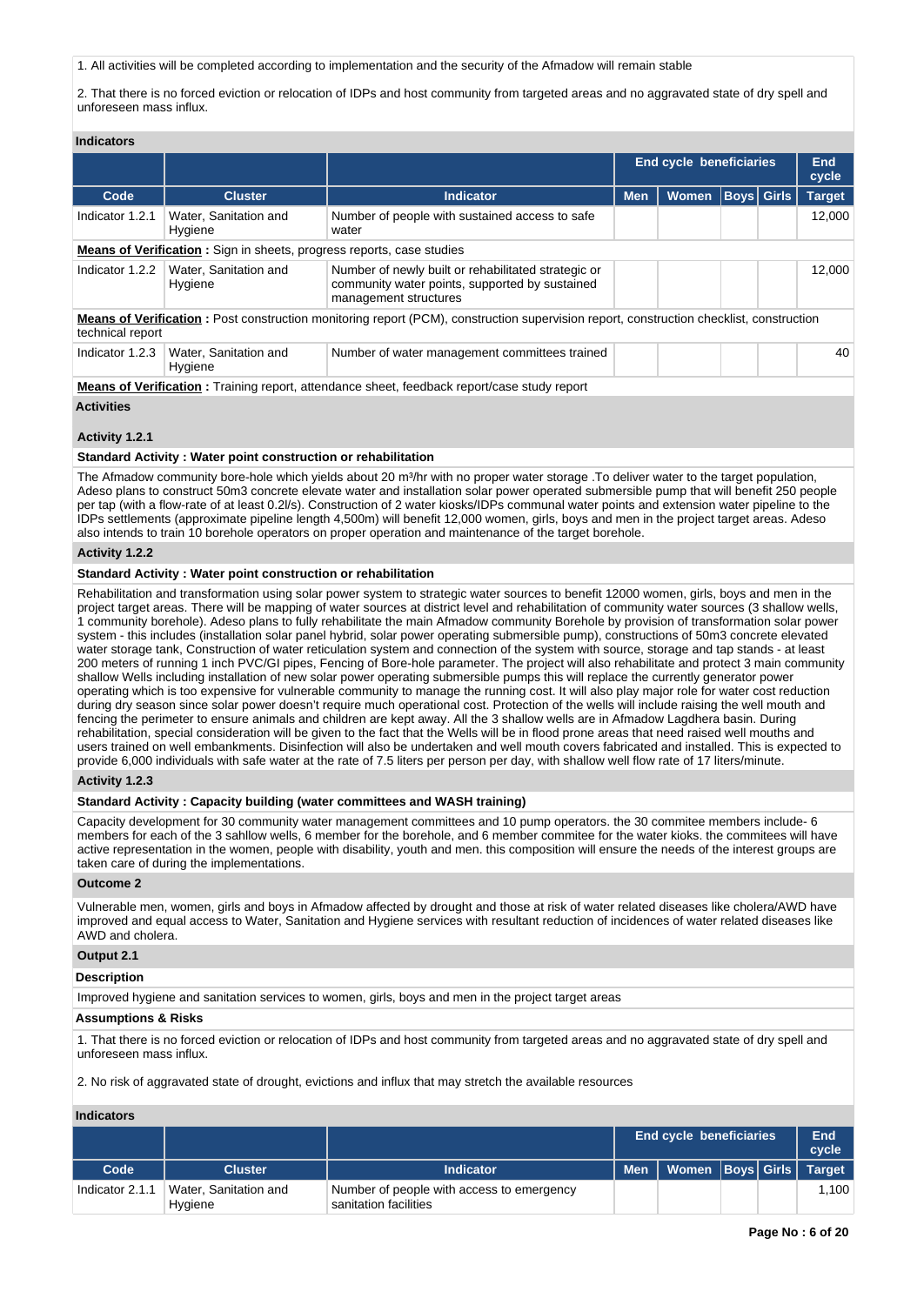1. All activities will be completed according to implementation and the security of the Afmadow will remain stable

2. That there is no forced eviction or relocation of IDPs and host community from targeted areas and no aggravated state of dry spell and unforeseen mass influx.

|                                                                                                                                                             |                                                                                                     |                                                                                                                                | <b>End cycle beneficiaries</b> |              |  | <b>End</b><br>cycle |               |  |
|-------------------------------------------------------------------------------------------------------------------------------------------------------------|-----------------------------------------------------------------------------------------------------|--------------------------------------------------------------------------------------------------------------------------------|--------------------------------|--------------|--|---------------------|---------------|--|
| Code                                                                                                                                                        | <b>Cluster</b>                                                                                      | <b>Indicator</b>                                                                                                               | <b>Men</b>                     | <b>Women</b> |  | <b>Boys Girls</b>   | <b>Target</b> |  |
| Indicator 1.2.1                                                                                                                                             | Water, Sanitation and<br>Hygiene                                                                    | Number of people with sustained access to safe<br>water                                                                        |                                |              |  |                     | 12.000        |  |
|                                                                                                                                                             | <b>Means of Verification:</b> Sign in sheets, progress reports, case studies                        |                                                                                                                                |                                |              |  |                     |               |  |
| Indicator 1.2.2                                                                                                                                             | Water, Sanitation and<br>Hygiene                                                                    | Number of newly built or rehabilitated strategic or<br>community water points, supported by sustained<br>management structures |                                |              |  |                     | 12.000        |  |
| Means of Verification: Post construction monitoring report (PCM), construction supervision report, construction checklist, construction<br>technical report |                                                                                                     |                                                                                                                                |                                |              |  |                     |               |  |
| Indicator 1.2.3                                                                                                                                             | Water, Sanitation and<br>Hygiene                                                                    | Number of water management committees trained                                                                                  |                                |              |  |                     | 40            |  |
|                                                                                                                                                             | <b>Means of Verification</b> : Training report, attendance sheet, feedback report/case study report |                                                                                                                                |                                |              |  |                     |               |  |

## **Activities**

#### **Activity 1.2.1**

#### **Standard Activity : Water point construction or rehabilitation**

The Afmadow community bore-hole which yields about 20 m<sup>3</sup>/hr with no proper water storage .To deliver water to the target population, Adeso plans to construct 50m3 concrete elevate water and installation solar power operated submersible pump that will benefit 250 people per tap (with a flow-rate of at least 0.2l/s). Construction of 2 water kiosks/IDPs communal water points and extension water pipeline to the IDPs settlements (approximate pipeline length 4,500m) will benefit 12,000 women, girls, boys and men in the project target areas. Adeso also intends to train 10 borehole operators on proper operation and maintenance of the target borehole.

#### **Activity 1.2.2**

## **Standard Activity : Water point construction or rehabilitation**

Rehabilitation and transformation using solar power system to strategic water sources to benefit 12000 women, girls, boys and men in the project target areas. There will be mapping of water sources at district level and rehabilitation of community water sources (3 shallow wells, 1 community borehole). Adeso plans to fully rehabilitate the main Afmadow community Borehole by provision of transformation solar power system - this includes (installation solar panel hybrid, solar power operating submersible pump), constructions of 50m3 concrete elevated water storage tank, Construction of water reticulation system and connection of the system with source, storage and tap stands - at least 200 meters of running 1 inch PVC/GI pipes, Fencing of Bore-hole parameter. The project will also rehabilitate and protect 3 main community shallow Wells including installation of new solar power operating submersible pumps this will replace the currently generator power operating which is too expensive for vulnerable community to manage the running cost. It will also play major role for water cost reduction during dry season since solar power doesn't require much operational cost. Protection of the wells will include raising the well mouth and fencing the perimeter to ensure animals and children are kept away. All the 3 shallow wells are in Afmadow Lagdhera basin. During rehabilitation, special consideration will be given to the fact that the Wells will be in flood prone areas that need raised well mouths and users trained on well embankments. Disinfection will also be undertaken and well mouth covers fabricated and installed. This is expected to provide 6,000 individuals with safe water at the rate of 7.5 liters per person per day, with shallow well flow rate of 17 liters/minute.

#### **Activity 1.2.3**

### **Standard Activity : Capacity building (water committees and WASH training)**

Capacity development for 30 community water management committees and 10 pump operators. the 30 commitee members include- 6 members for each of the 3 sahllow wells, 6 member for the borehole, and 6 member commitee for the water kioks. the commitees will have active representation in the women, people with disability, youth and men. this composition will ensure the needs of the interest groups are taken care of during the implementations.

#### **Outcome 2**

Vulnerable men, women, girls and boys in Afmadow affected by drought and those at risk of water related diseases like cholera/AWD have improved and equal access to Water, Sanitation and Hygiene services with resultant reduction of incidences of water related diseases like AWD and cholera.

# **Output 2.1**

### **Description**

Improved hygiene and sanitation services to women, girls, boys and men in the project target areas

### **Assumptions & Risks**

1. That there is no forced eviction or relocation of IDPs and host community from targeted areas and no aggravated state of dry spell and unforeseen mass influx.

2. No risk of aggravated state of drought, evictions and influx that may stretch the available resources

#### **Indicators**

|                 |                                  |                                                                    | <b>End cycle beneficiaries</b> |                               | End<br>cycle |       |
|-----------------|----------------------------------|--------------------------------------------------------------------|--------------------------------|-------------------------------|--------------|-------|
| Code            | <b>Cluster</b>                   | <b>Indicator</b>                                                   | ∣ Men                          | Women   Boys   Girls   Target |              |       |
| Indicator 2.1.1 | Water, Sanitation and<br>Hygiene | Number of people with access to emergency<br>sanitation facilities |                                |                               |              | 1.100 |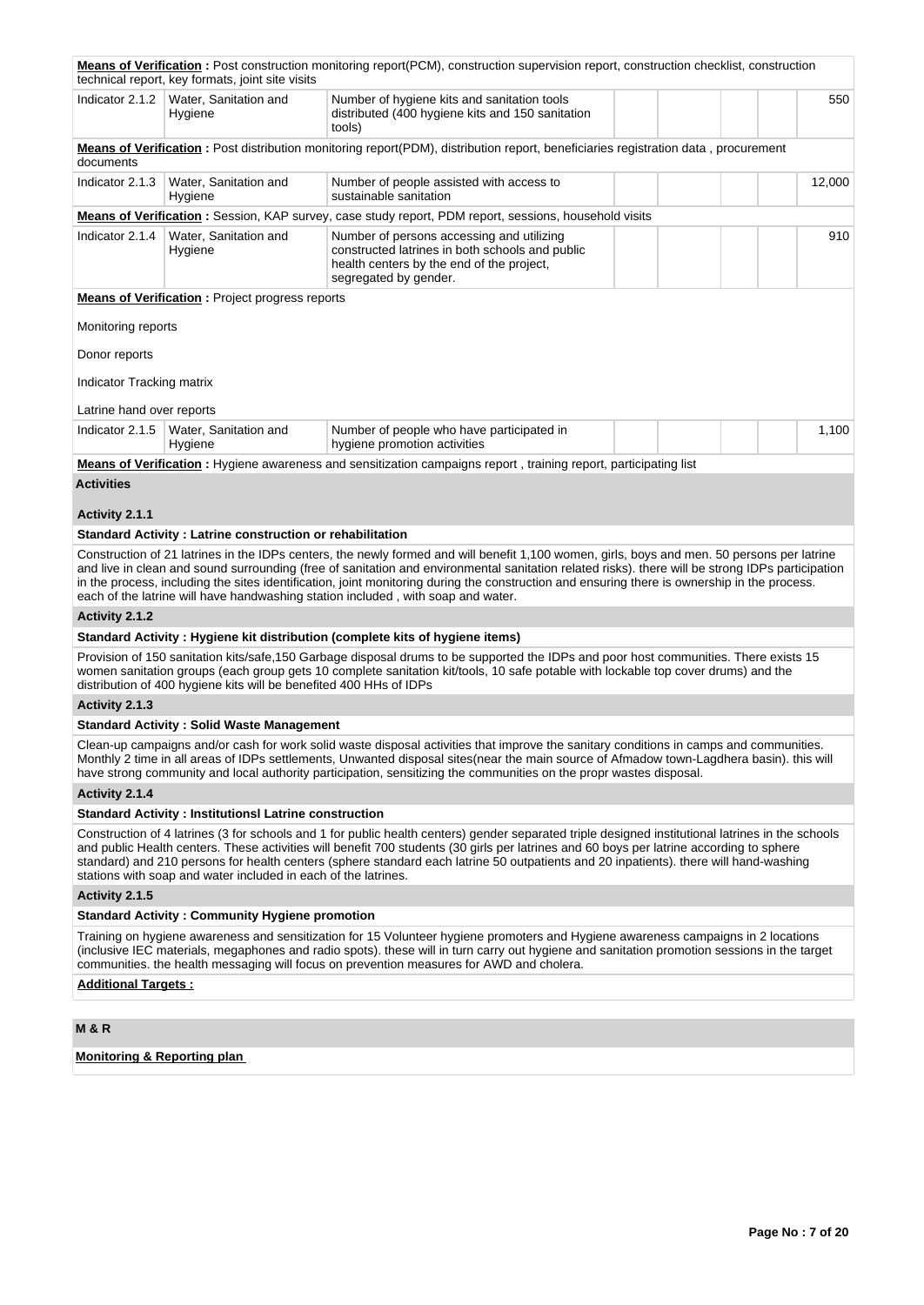|                            | technical report, key formats, joint site visits                   | <b>Means of Verification</b> : Post construction monitoring report(PCM), construction supervision report, construction checklist, construction                                                                                                                                                                                                                                                                                                                                                                                      |        |
|----------------------------|--------------------------------------------------------------------|-------------------------------------------------------------------------------------------------------------------------------------------------------------------------------------------------------------------------------------------------------------------------------------------------------------------------------------------------------------------------------------------------------------------------------------------------------------------------------------------------------------------------------------|--------|
| Indicator 2.1.2            | Water, Sanitation and<br>Hygiene                                   | Number of hygiene kits and sanitation tools<br>distributed (400 hygiene kits and 150 sanitation<br>tools)                                                                                                                                                                                                                                                                                                                                                                                                                           | 550    |
| documents                  |                                                                    | Means of Verification: Post distribution monitoring report(PDM), distribution report, beneficiaries registration data, procurement                                                                                                                                                                                                                                                                                                                                                                                                  |        |
| Indicator 2.1.3            | Water, Sanitation and<br>Hygiene                                   | Number of people assisted with access to<br>sustainable sanitation                                                                                                                                                                                                                                                                                                                                                                                                                                                                  | 12,000 |
|                            |                                                                    | Means of Verification: Session, KAP survey, case study report, PDM report, sessions, household visits                                                                                                                                                                                                                                                                                                                                                                                                                               |        |
| Indicator 2.1.4            | Water, Sanitation and<br>Hygiene                                   | Number of persons accessing and utilizing<br>constructed latrines in both schools and public<br>health centers by the end of the project,<br>segregated by gender.                                                                                                                                                                                                                                                                                                                                                                  | 910    |
|                            | <b>Means of Verification:</b> Project progress reports             |                                                                                                                                                                                                                                                                                                                                                                                                                                                                                                                                     |        |
| Monitoring reports         |                                                                    |                                                                                                                                                                                                                                                                                                                                                                                                                                                                                                                                     |        |
| Donor reports              |                                                                    |                                                                                                                                                                                                                                                                                                                                                                                                                                                                                                                                     |        |
| Indicator Tracking matrix  |                                                                    |                                                                                                                                                                                                                                                                                                                                                                                                                                                                                                                                     |        |
| Latrine hand over reports  |                                                                    |                                                                                                                                                                                                                                                                                                                                                                                                                                                                                                                                     |        |
| Indicator 2.1.5            | Water, Sanitation and<br>Hygiene                                   | Number of people who have participated in<br>hygiene promotion activities                                                                                                                                                                                                                                                                                                                                                                                                                                                           | 1,100  |
|                            |                                                                    | Means of Verification: Hygiene awareness and sensitization campaigns report, training report, participating list                                                                                                                                                                                                                                                                                                                                                                                                                    |        |
| <b>Activities</b>          |                                                                    |                                                                                                                                                                                                                                                                                                                                                                                                                                                                                                                                     |        |
| Activity 2.1.1             |                                                                    |                                                                                                                                                                                                                                                                                                                                                                                                                                                                                                                                     |        |
|                            | <b>Standard Activity: Latrine construction or rehabilitation</b>   |                                                                                                                                                                                                                                                                                                                                                                                                                                                                                                                                     |        |
|                            |                                                                    | Construction of 21 latrines in the IDPs centers, the newly formed and will benefit 1,100 women, girls, boys and men. 50 persons per latrine<br>and live in clean and sound surrounding (free of sanitation and environmental sanitation related risks). there will be strong IDPs participation<br>in the process, including the sites identification, joint monitoring during the construction and ensuring there is ownership in the process.<br>each of the latrine will have handwashing station included, with soap and water. |        |
| Activity 2.1.2             |                                                                    |                                                                                                                                                                                                                                                                                                                                                                                                                                                                                                                                     |        |
|                            |                                                                    | Standard Activity: Hygiene kit distribution (complete kits of hygiene items)                                                                                                                                                                                                                                                                                                                                                                                                                                                        |        |
|                            | distribution of 400 hygiene kits will be benefited 400 HHs of IDPs | Provision of 150 sanitation kits/safe,150 Garbage disposal drums to be supported the IDPs and poor host communities. There exists 15<br>women sanitation groups (each group gets 10 complete sanitation kit/tools, 10 safe potable with lockable top cover drums) and the                                                                                                                                                                                                                                                           |        |
| Activity 2.1.3             |                                                                    |                                                                                                                                                                                                                                                                                                                                                                                                                                                                                                                                     |        |
|                            | <b>Standard Activity: Solid Waste Management</b>                   |                                                                                                                                                                                                                                                                                                                                                                                                                                                                                                                                     |        |
|                            |                                                                    | Clean-up campaigns and/or cash for work solid waste disposal activities that improve the sanitary conditions in camps and communities.<br>Monthly 2 time in all areas of IDPs settlements, Unwanted disposal sites(near the main source of Afmadow town-Lagdhera basin). this will<br>have strong community and local authority participation, sensitizing the communities on the propr wastes disposal.                                                                                                                            |        |
| Activity 2.1.4             |                                                                    |                                                                                                                                                                                                                                                                                                                                                                                                                                                                                                                                     |        |
|                            | <b>Standard Activity: InstitutionsI Latrine construction</b>       |                                                                                                                                                                                                                                                                                                                                                                                                                                                                                                                                     |        |
|                            | stations with soap and water included in each of the latrines.     | Construction of 4 latrines (3 for schools and 1 for public health centers) gender separated triple designed institutional latrines in the schools<br>and public Health centers. These activities will benefit 700 students (30 girls per latrines and 60 boys per latrine according to sphere<br>standard) and 210 persons for health centers (sphere standard each latrine 50 outpatients and 20 inpatients). there will hand-washing                                                                                              |        |
| Activity 2.1.5             |                                                                    |                                                                                                                                                                                                                                                                                                                                                                                                                                                                                                                                     |        |
|                            | <b>Standard Activity: Community Hygiene promotion</b>              |                                                                                                                                                                                                                                                                                                                                                                                                                                                                                                                                     |        |
|                            |                                                                    | Training on hygiene awareness and sensitization for 15 Volunteer hygiene promoters and Hygiene awareness campaigns in 2 locations<br>(inclusive IEC materials, megaphones and radio spots). these will in turn carry out hygiene and sanitation promotion sessions in the target<br>communities. the health messaging will focus on prevention measures for AWD and cholera.                                                                                                                                                        |        |
| <b>Additional Targets:</b> |                                                                    |                                                                                                                                                                                                                                                                                                                                                                                                                                                                                                                                     |        |
|                            |                                                                    |                                                                                                                                                                                                                                                                                                                                                                                                                                                                                                                                     |        |

**M & R**

**Monitoring & Reporting plan**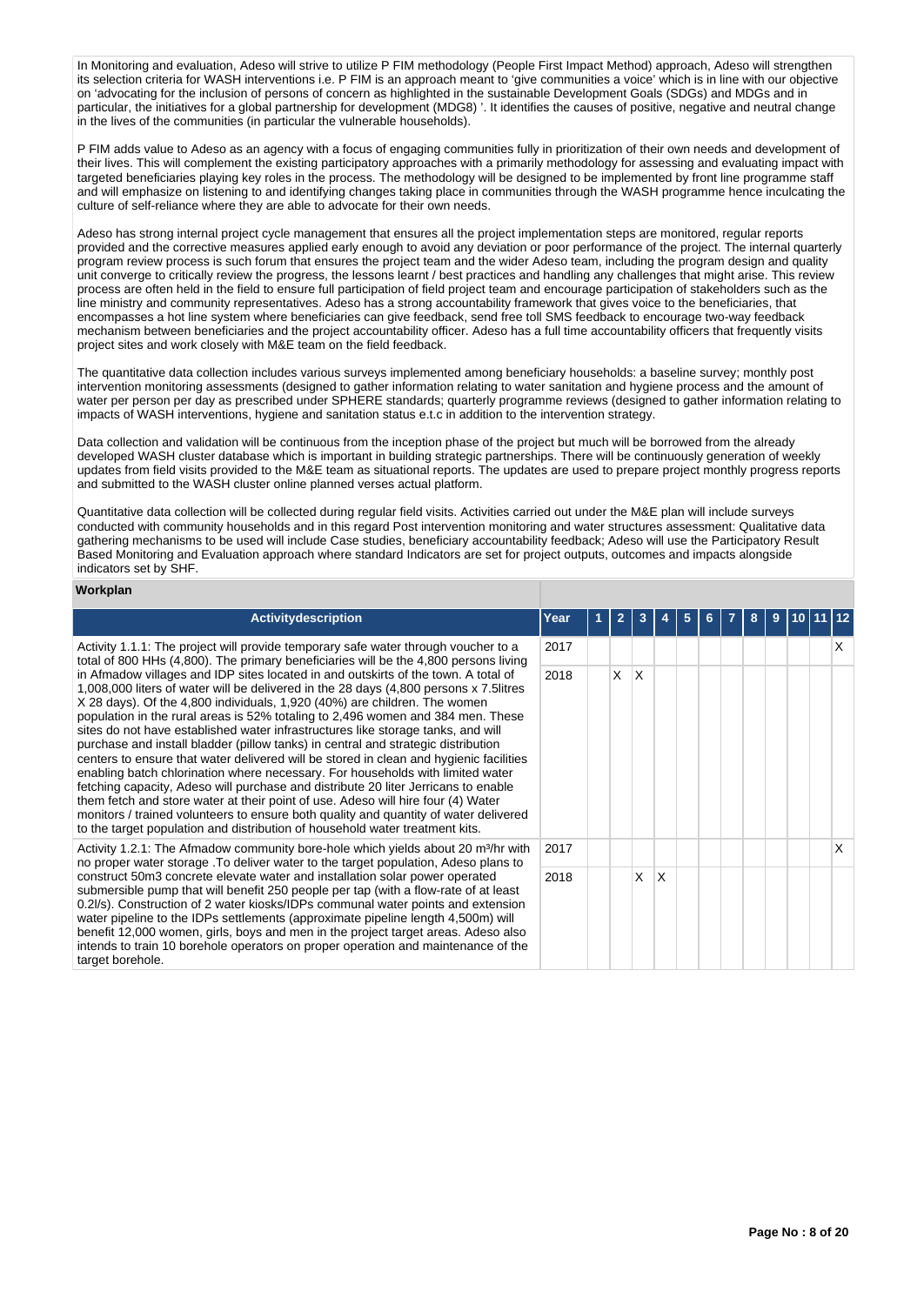In Monitoring and evaluation, Adeso will strive to utilize P FIM methodology (People First Impact Method) approach, Adeso will strengthen its selection criteria for WASH interventions i.e. P FIM is an approach meant to 'give communities a voice' which is in line with our objective on 'advocating for the inclusion of persons of concern as highlighted in the sustainable Development Goals (SDGs) and MDGs and in particular, the initiatives for a global partnership for development (MDG8) '. It identifies the causes of positive, negative and neutral change in the lives of the communities (in particular the vulnerable households).

P FIM adds value to Adeso as an agency with a focus of engaging communities fully in prioritization of their own needs and development of their lives. This will complement the existing participatory approaches with a primarily methodology for assessing and evaluating impact with targeted beneficiaries playing key roles in the process. The methodology will be designed to be implemented by front line programme staff and will emphasize on listening to and identifying changes taking place in communities through the WASH programme hence inculcating the culture of self-reliance where they are able to advocate for their own needs.

Adeso has strong internal project cycle management that ensures all the project implementation steps are monitored, regular reports provided and the corrective measures applied early enough to avoid any deviation or poor performance of the project. The internal quarterly program review process is such forum that ensures the project team and the wider Adeso team, including the program design and quality unit converge to critically review the progress, the lessons learnt / best practices and handling any challenges that might arise. This review process are often held in the field to ensure full participation of field project team and encourage participation of stakeholders such as the line ministry and community representatives. Adeso has a strong accountability framework that gives voice to the beneficiaries, that encompasses a hot line system where beneficiaries can give feedback, send free toll SMS feedback to encourage two-way feedback mechanism between beneficiaries and the project accountability officer. Adeso has a full time accountability officers that frequently visits project sites and work closely with M&E team on the field feedback.

The quantitative data collection includes various surveys implemented among beneficiary households: a baseline survey; monthly post intervention monitoring assessments (designed to gather information relating to water sanitation and hygiene process and the amount of water per person per day as prescribed under SPHERE standards; quarterly programme reviews (designed to gather information relating to impacts of WASH interventions, hygiene and sanitation status e.t.c in addition to the intervention strategy.

Data collection and validation will be continuous from the inception phase of the project but much will be borrowed from the already developed WASH cluster database which is important in building strategic partnerships. There will be continuously generation of weekly updates from field visits provided to the M&E team as situational reports. The updates are used to prepare project monthly progress reports and submitted to the WASH cluster online planned verses actual platform.

Quantitative data collection will be collected during regular field visits. Activities carried out under the M&E plan will include surveys conducted with community households and in this regard Post intervention monitoring and water structures assessment: Qualitative data gathering mechanisms to be used will include Case studies, beneficiary accountability feedback; Adeso will use the Participatory Result Based Monitoring and Evaluation approach where standard Indicators are set for project outputs, outcomes and impacts alongside indicators set by SHF.

#### **Workplan**

| <b>Activity description</b>                                                                                                                                                                                                                                                                                                                                                                                                                                                                                                                                                                                                                                                                                                                                                                                                                                                                                                                                                                                                                         | Year | $\overline{2}$ |     |              |  | 8 | 9 |  |   |
|-----------------------------------------------------------------------------------------------------------------------------------------------------------------------------------------------------------------------------------------------------------------------------------------------------------------------------------------------------------------------------------------------------------------------------------------------------------------------------------------------------------------------------------------------------------------------------------------------------------------------------------------------------------------------------------------------------------------------------------------------------------------------------------------------------------------------------------------------------------------------------------------------------------------------------------------------------------------------------------------------------------------------------------------------------|------|----------------|-----|--------------|--|---|---|--|---|
| Activity 1.1.1: The project will provide temporary safe water through voucher to a<br>total of 800 HHs (4,800). The primary beneficiaries will be the 4,800 persons living                                                                                                                                                                                                                                                                                                                                                                                                                                                                                                                                                                                                                                                                                                                                                                                                                                                                          | 2017 |                |     |              |  |   |   |  | х |
| in Afmadow villages and IDP sites located in and outskirts of the town. A total of<br>1,008,000 liters of water will be delivered in the 28 days (4,800 persons x 7.5 litres<br>X 28 days). Of the 4,800 individuals, 1,920 (40%) are children. The women<br>population in the rural areas is 52% totaling to 2,496 women and 384 men. These<br>sites do not have established water infrastructures like storage tanks, and will<br>purchase and install bladder (pillow tanks) in central and strategic distribution<br>centers to ensure that water delivered will be stored in clean and hygienic facilities<br>enabling batch chlorination where necessary. For households with limited water<br>fetching capacity, Adeso will purchase and distribute 20 liter Jerricans to enable<br>them fetch and store water at their point of use. Adeso will hire four (4) Water<br>monitors / trained volunteers to ensure both quality and quantity of water delivered<br>to the target population and distribution of household water treatment kits. | 2018 | X.             | ΙX. |              |  |   |   |  |   |
| Activity 1.2.1: The Afmadow community bore-hole which yields about 20 m <sup>3</sup> /hr with<br>no proper water storage. To deliver water to the target population, Adeso plans to                                                                                                                                                                                                                                                                                                                                                                                                                                                                                                                                                                                                                                                                                                                                                                                                                                                                 | 2017 |                |     |              |  |   |   |  | X |
| construct 50m3 concrete elevate water and installation solar power operated<br>submersible pump that will benefit 250 people per tap (with a flow-rate of at least<br>0.2l/s). Construction of 2 water kiosks/IDPs communal water points and extension<br>water pipeline to the IDPs settlements (approximate pipeline length 4,500m) will<br>benefit 12,000 women, girls, boys and men in the project target areas. Adeso also<br>intends to train 10 borehole operators on proper operation and maintenance of the<br>target borehole.                                                                                                                                                                                                                                                                                                                                                                                                                                                                                                            | 2018 |                | X   | <sup>X</sup> |  |   |   |  |   |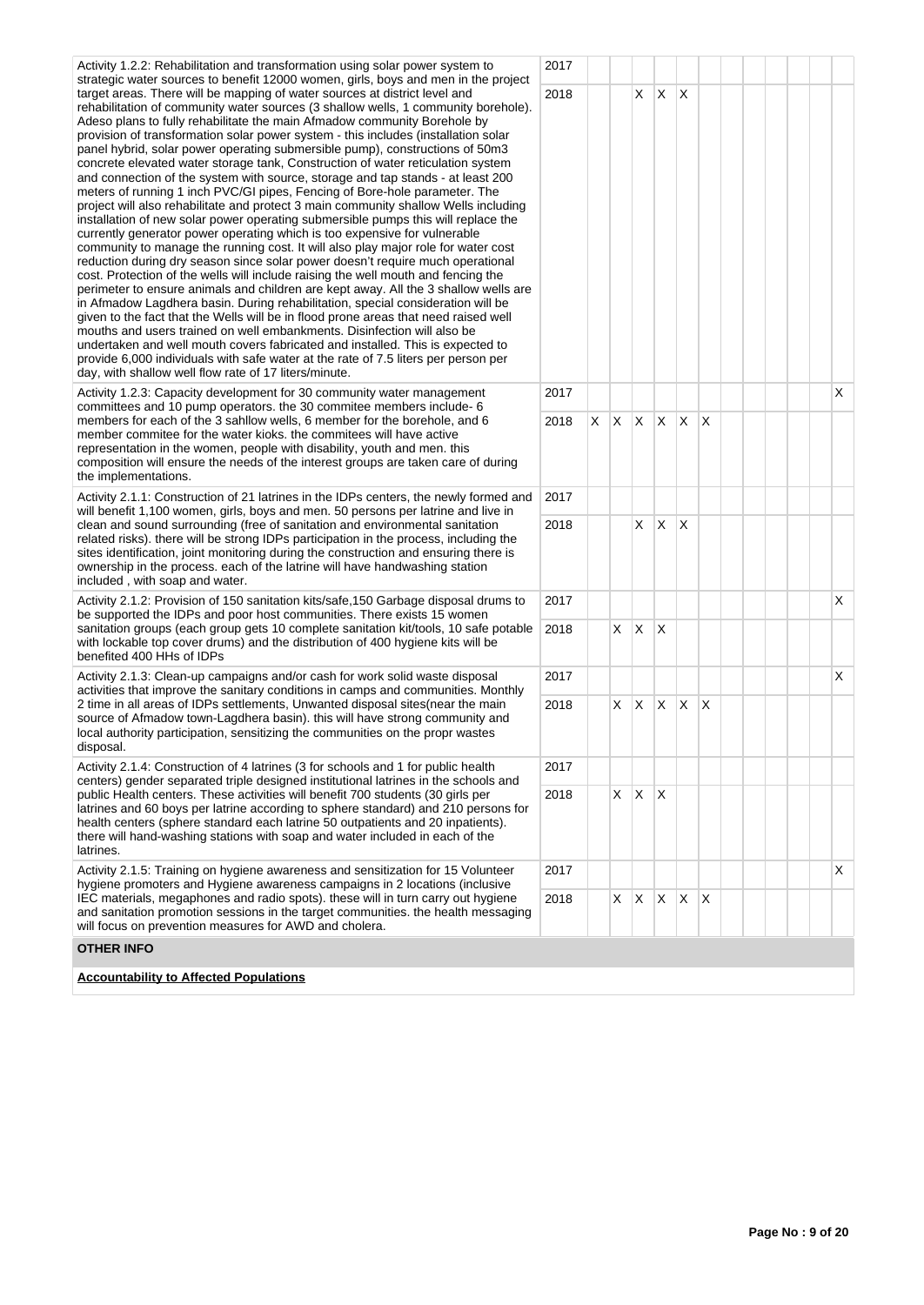| Activity 1.2.2: Rehabilitation and transformation using solar power system to<br>strategic water sources to benefit 12000 women, girls, boys and men in the project                                                                                                                                                                                                                                                                                                                                                                                                                                                                                                                                                                                                                                                                                                                                                                                                                                                                                                                                                                                                                                                                                                                                                                                                                                                                                                                                                                                                                                                                                                                                                                                                      | 2017 |    |              |          |              |              |  |  |    |
|--------------------------------------------------------------------------------------------------------------------------------------------------------------------------------------------------------------------------------------------------------------------------------------------------------------------------------------------------------------------------------------------------------------------------------------------------------------------------------------------------------------------------------------------------------------------------------------------------------------------------------------------------------------------------------------------------------------------------------------------------------------------------------------------------------------------------------------------------------------------------------------------------------------------------------------------------------------------------------------------------------------------------------------------------------------------------------------------------------------------------------------------------------------------------------------------------------------------------------------------------------------------------------------------------------------------------------------------------------------------------------------------------------------------------------------------------------------------------------------------------------------------------------------------------------------------------------------------------------------------------------------------------------------------------------------------------------------------------------------------------------------------------|------|----|--------------|----------|--------------|--------------|--|--|----|
| target areas. There will be mapping of water sources at district level and<br>rehabilitation of community water sources (3 shallow wells, 1 community borehole).<br>Adeso plans to fully rehabilitate the main Afmadow community Borehole by<br>provision of transformation solar power system - this includes (installation solar<br>panel hybrid, solar power operating submersible pump), constructions of 50m3<br>concrete elevated water storage tank, Construction of water reticulation system<br>and connection of the system with source, storage and tap stands - at least 200<br>meters of running 1 inch PVC/GI pipes, Fencing of Bore-hole parameter. The<br>project will also rehabilitate and protect 3 main community shallow Wells including<br>installation of new solar power operating submersible pumps this will replace the<br>currently generator power operating which is too expensive for vulnerable<br>community to manage the running cost. It will also play major role for water cost<br>reduction during dry season since solar power doesn't require much operational<br>cost. Protection of the wells will include raising the well mouth and fencing the<br>perimeter to ensure animals and children are kept away. All the 3 shallow wells are<br>in Afmadow Lagdhera basin. During rehabilitation, special consideration will be<br>given to the fact that the Wells will be in flood prone areas that need raised well<br>mouths and users trained on well embankments. Disinfection will also be<br>undertaken and well mouth covers fabricated and installed. This is expected to<br>provide 6,000 individuals with safe water at the rate of 7.5 liters per person per<br>day, with shallow well flow rate of 17 liters/minute. | 2018 |    | X.           | X        | X            |              |  |  |    |
| Activity 1.2.3: Capacity development for 30 community water management<br>committees and 10 pump operators. the 30 commitee members include- 6                                                                                                                                                                                                                                                                                                                                                                                                                                                                                                                                                                                                                                                                                                                                                                                                                                                                                                                                                                                                                                                                                                                                                                                                                                                                                                                                                                                                                                                                                                                                                                                                                           | 2017 |    |              |          |              |              |  |  | X  |
| members for each of the 3 sahllow wells, 6 member for the borehole, and 6<br>member commitee for the water kioks. the commitees will have active<br>representation in the women, people with disability, youth and men. this<br>composition will ensure the needs of the interest groups are taken care of during<br>the implementations.                                                                                                                                                                                                                                                                                                                                                                                                                                                                                                                                                                                                                                                                                                                                                                                                                                                                                                                                                                                                                                                                                                                                                                                                                                                                                                                                                                                                                                | 2018 |    | $x \times x$ |          | $\mathsf{X}$ | $\mathsf{X}$ |  |  |    |
| Activity 2.1.1: Construction of 21 latrines in the IDPs centers, the newly formed and<br>will benefit 1,100 women, girls, boys and men. 50 persons per latrine and live in                                                                                                                                                                                                                                                                                                                                                                                                                                                                                                                                                                                                                                                                                                                                                                                                                                                                                                                                                                                                                                                                                                                                                                                                                                                                                                                                                                                                                                                                                                                                                                                               | 2017 |    |              |          |              |              |  |  |    |
| clean and sound surrounding (free of sanitation and environmental sanitation<br>related risks). there will be strong IDPs participation in the process, including the<br>sites identification, joint monitoring during the construction and ensuring there is<br>ownership in the process. each of the latrine will have handwashing station<br>included, with soap and water.                                                                                                                                                                                                                                                                                                                                                                                                                                                                                                                                                                                                                                                                                                                                                                                                                                                                                                                                                                                                                                                                                                                                                                                                                                                                                                                                                                                           | 2018 |    | X.           | $\times$ | X            |              |  |  |    |
| Activity 2.1.2: Provision of 150 sanitation kits/safe, 150 Garbage disposal drums to<br>be supported the IDPs and poor host communities. There exists 15 women                                                                                                                                                                                                                                                                                                                                                                                                                                                                                                                                                                                                                                                                                                                                                                                                                                                                                                                                                                                                                                                                                                                                                                                                                                                                                                                                                                                                                                                                                                                                                                                                           | 2017 |    |              |          |              |              |  |  | X  |
| sanitation groups (each group gets 10 complete sanitation kit/tools, 10 safe potable<br>with lockable top cover drums) and the distribution of 400 hygiene kits will be<br>benefited 400 HHs of IDPs                                                                                                                                                                                                                                                                                                                                                                                                                                                                                                                                                                                                                                                                                                                                                                                                                                                                                                                                                                                                                                                                                                                                                                                                                                                                                                                                                                                                                                                                                                                                                                     | 2018 | X. | $\mathsf{X}$ | X        |              |              |  |  |    |
| Activity 2.1.3: Clean-up campaigns and/or cash for work solid waste disposal<br>activities that improve the sanitary conditions in camps and communities. Monthly                                                                                                                                                                                                                                                                                                                                                                                                                                                                                                                                                                                                                                                                                                                                                                                                                                                                                                                                                                                                                                                                                                                                                                                                                                                                                                                                                                                                                                                                                                                                                                                                        | 2017 |    |              |          |              |              |  |  | X. |
| 2 time in all areas of IDPs settlements, Unwanted disposal sites (near the main<br>source of Afmadow town-Lagdhera basin). this will have strong community and<br>local authority participation, sensitizing the communities on the propr wastes<br>disposal.                                                                                                                                                                                                                                                                                                                                                                                                                                                                                                                                                                                                                                                                                                                                                                                                                                                                                                                                                                                                                                                                                                                                                                                                                                                                                                                                                                                                                                                                                                            | 2018 | X. | $\mathsf{X}$ | X        | $\times$     | $\times$     |  |  |    |
| Activity 2.1.4: Construction of 4 latrines (3 for schools and 1 for public health                                                                                                                                                                                                                                                                                                                                                                                                                                                                                                                                                                                                                                                                                                                                                                                                                                                                                                                                                                                                                                                                                                                                                                                                                                                                                                                                                                                                                                                                                                                                                                                                                                                                                        | 2017 |    |              |          |              |              |  |  |    |
| centers) gender separated triple designed institutional latrines in the schools and<br>public Health centers. These activities will benefit 700 students (30 girls per<br>latrines and 60 boys per latrine according to sphere standard) and 210 persons for<br>health centers (sphere standard each latrine 50 outpatients and 20 inpatients).<br>there will hand-washing stations with soap and water included in each of the<br>latrines.                                                                                                                                                                                                                                                                                                                                                                                                                                                                                                                                                                                                                                                                                                                                                                                                                                                                                                                                                                                                                                                                                                                                                                                                                                                                                                                             |      |    | $X$ $X$ $X$  |          |              |              |  |  |    |
| Activity 2.1.5: Training on hygiene awareness and sensitization for 15 Volunteer<br>hygiene promoters and Hygiene awareness campaigns in 2 locations (inclusive                                                                                                                                                                                                                                                                                                                                                                                                                                                                                                                                                                                                                                                                                                                                                                                                                                                                                                                                                                                                                                                                                                                                                                                                                                                                                                                                                                                                                                                                                                                                                                                                          | 2017 |    |              |          |              |              |  |  | X. |
| IEC materials, megaphones and radio spots). these will in turn carry out hygiene<br>and sanitation promotion sessions in the target communities, the health messaging<br>will focus on prevention measures for AWD and cholera.                                                                                                                                                                                                                                                                                                                                                                                                                                                                                                                                                                                                                                                                                                                                                                                                                                                                                                                                                                                                                                                                                                                                                                                                                                                                                                                                                                                                                                                                                                                                          | 2018 | X  | $\mathsf{X}$ | Χ        | X            | $\mathsf{X}$ |  |  |    |
| <b>OTHER INFO</b>                                                                                                                                                                                                                                                                                                                                                                                                                                                                                                                                                                                                                                                                                                                                                                                                                                                                                                                                                                                                                                                                                                                                                                                                                                                                                                                                                                                                                                                                                                                                                                                                                                                                                                                                                        |      |    |              |          |              |              |  |  |    |
| <b>Accountability to Affected Populations</b>                                                                                                                                                                                                                                                                                                                                                                                                                                                                                                                                                                                                                                                                                                                                                                                                                                                                                                                                                                                                                                                                                                                                                                                                                                                                                                                                                                                                                                                                                                                                                                                                                                                                                                                            |      |    |              |          |              |              |  |  |    |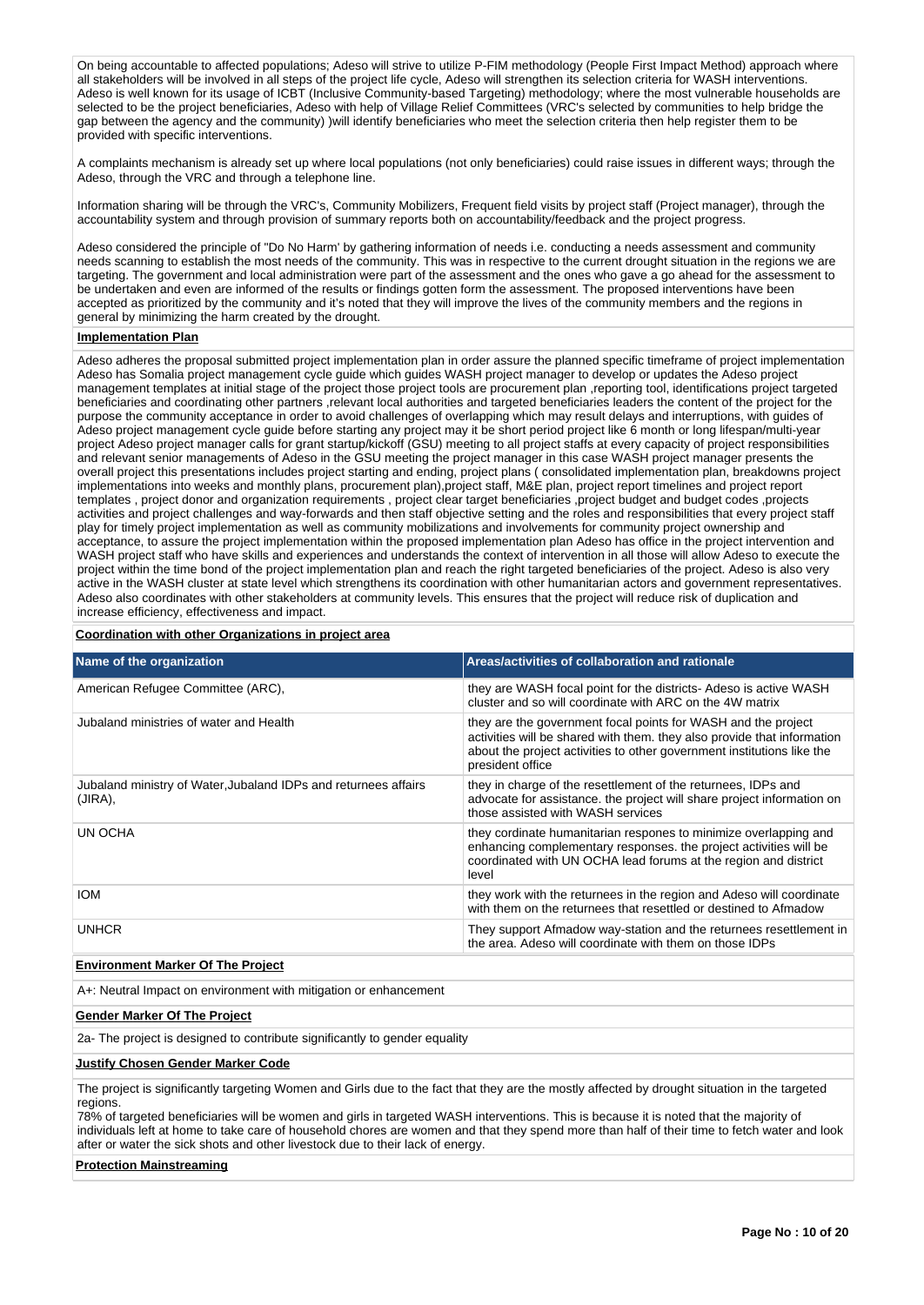On being accountable to affected populations; Adeso will strive to utilize P-FIM methodology (People First Impact Method) approach where all stakeholders will be involved in all steps of the project life cycle, Adeso will strengthen its selection criteria for WASH interventions. Adeso is well known for its usage of ICBT (Inclusive Community-based Targeting) methodology; where the most vulnerable households are selected to be the project beneficiaries, Adeso with help of Village Relief Committees (VRC's selected by communities to help bridge the gap between the agency and the community) )will identify beneficiaries who meet the selection criteria then help register them to be provided with specific interventions.

A complaints mechanism is already set up where local populations (not only beneficiaries) could raise issues in different ways; through the Adeso, through the VRC and through a telephone line.

Information sharing will be through the VRC's, Community Mobilizers, Frequent field visits by project staff (Project manager), through the accountability system and through provision of summary reports both on accountability/feedback and the project progress.

Adeso considered the principle of "Do No Harm' by gathering information of needs i.e. conducting a needs assessment and community needs scanning to establish the most needs of the community. This was in respective to the current drought situation in the regions we are targeting. The government and local administration were part of the assessment and the ones who gave a go ahead for the assessment to be undertaken and even are informed of the results or findings gotten form the assessment. The proposed interventions have been accepted as prioritized by the community and it's noted that they will improve the lives of the community members and the regions in general by minimizing the harm created by the drought.

# **Implementation Plan**

Adeso adheres the proposal submitted project implementation plan in order assure the planned specific timeframe of project implementation Adeso has Somalia project management cycle guide which guides WASH project manager to develop or updates the Adeso project management templates at initial stage of the project those project tools are procurement plan ,reporting tool, identifications project targeted beneficiaries and coordinating other partners ,relevant local authorities and targeted beneficiaries leaders the content of the project for the purpose the community acceptance in order to avoid challenges of overlapping which may result delays and interruptions, with guides of Adeso project management cycle guide before starting any project may it be short period project like 6 month or long lifespan/multi-year project Adeso project manager calls for grant startup/kickoff (GSU) meeting to all project staffs at every capacity of project responsibilities and relevant senior managements of Adeso in the GSU meeting the project manager in this case WASH project manager presents the overall project this presentations includes project starting and ending, project plans ( consolidated implementation plan, breakdowns project implementations into weeks and monthly plans, procurement plan),project staff, M&E plan, project report timelines and project report templates , project donor and organization requirements , project clear target beneficiaries ,project budget and budget codes ,projects activities and project challenges and way-forwards and then staff objective setting and the roles and responsibilities that every project staff play for timely project implementation as well as community mobilizations and involvements for community project ownership and acceptance, to assure the project implementation within the proposed implementation plan Adeso has office in the project intervention and WASH project staff who have skills and experiences and understands the context of intervention in all those will allow Adeso to execute the project within the time bond of the project implementation plan and reach the right targeted beneficiaries of the project. Adeso is also very active in the WASH cluster at state level which strengthens its coordination with other humanitarian actors and government representatives. Adeso also coordinates with other stakeholders at community levels. This ensures that the project will reduce risk of duplication and increase efficiency, effectiveness and impact.

### **Coordination with other Organizations in project area**

| Name of the organization                                                   | Areas/activities of collaboration and rationale                                                                                                                                                                                        |
|----------------------------------------------------------------------------|----------------------------------------------------------------------------------------------------------------------------------------------------------------------------------------------------------------------------------------|
| American Refugee Committee (ARC),                                          | they are WASH focal point for the districts- Adeso is active WASH<br>cluster and so will coordinate with ARC on the 4W matrix                                                                                                          |
| Jubaland ministries of water and Health                                    | they are the government focal points for WASH and the project<br>activities will be shared with them. they also provide that information<br>about the project activities to other government institutions like the<br>president office |
| Jubaland ministry of Water, Jubaland IDPs and returnees affairs<br>(JIRA), | they in charge of the resettlement of the returnees, IDPs and<br>advocate for assistance, the project will share project information on<br>those assisted with WASH services                                                           |
| UN OCHA                                                                    | they cordinate humanitarian respones to minimize overlapping and<br>enhancing complementary responses. the project activities will be<br>coordinated with UN OCHA lead forums at the region and district<br>level                      |
| <b>IOM</b>                                                                 | they work with the returnees in the region and Adeso will coordinate<br>with them on the returnees that resettled or destined to Afmadow                                                                                               |
| <b>UNHCR</b>                                                               | They support Afmadow way-station and the returnees resettlement in<br>the area. Adeso will coordinate with them on those IDPs                                                                                                          |
|                                                                            |                                                                                                                                                                                                                                        |

# **Environment Marker Of The Project**

A+: Neutral Impact on environment with mitigation or enhancement

#### **Gender Marker Of The Project**

2a- The project is designed to contribute significantly to gender equality

#### **Justify Chosen Gender Marker Code**

The project is significantly targeting Women and Girls due to the fact that they are the mostly affected by drought situation in the targeted regions.

78% of targeted beneficiaries will be women and girls in targeted WASH interventions. This is because it is noted that the majority of individuals left at home to take care of household chores are women and that they spend more than half of their time to fetch water and look after or water the sick shots and other livestock due to their lack of energy.

#### **Protection Mainstreaming**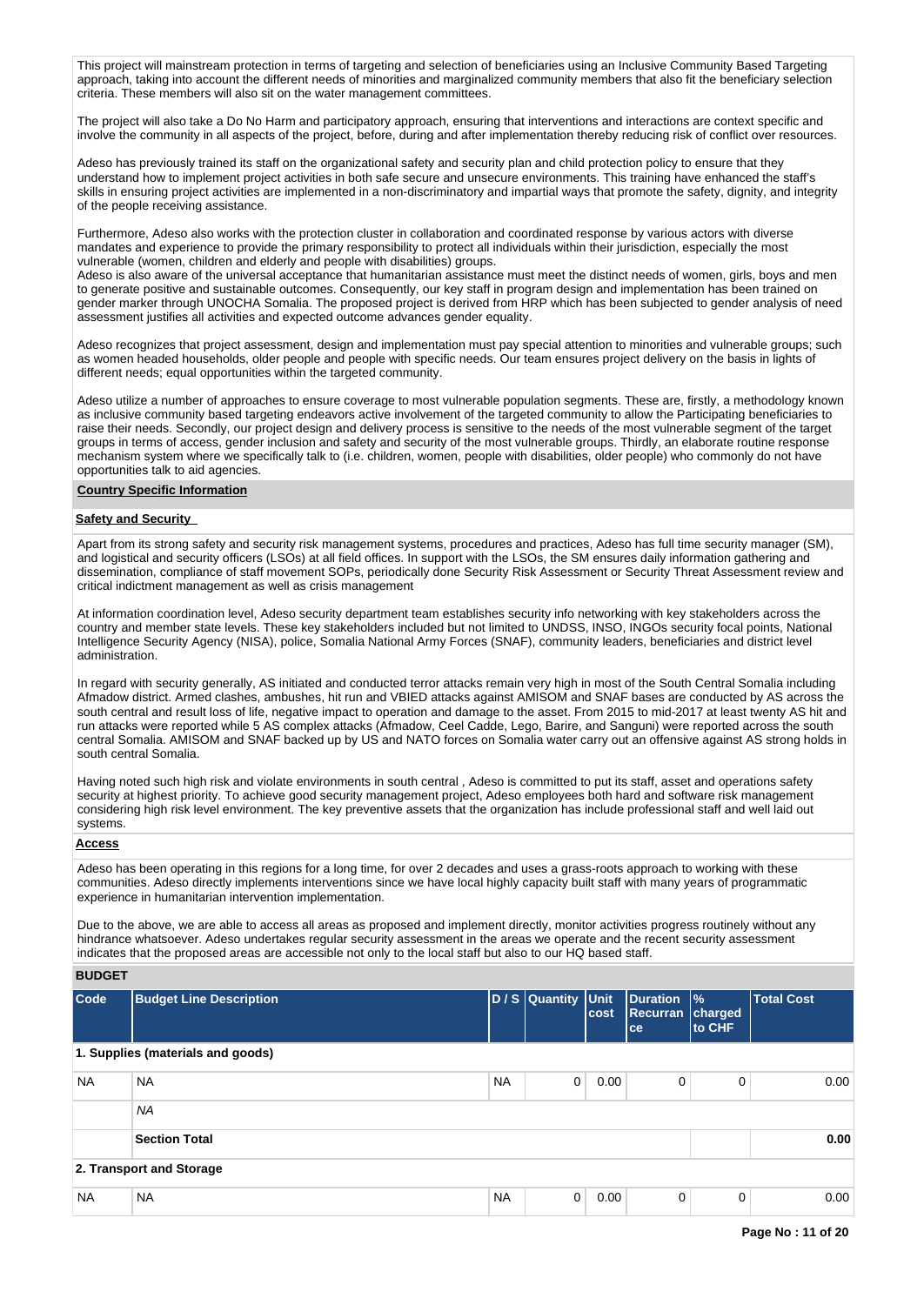This project will mainstream protection in terms of targeting and selection of beneficiaries using an Inclusive Community Based Targeting approach, taking into account the different needs of minorities and marginalized community members that also fit the beneficiary selection criteria. These members will also sit on the water management committees.

The project will also take a Do No Harm and participatory approach, ensuring that interventions and interactions are context specific and involve the community in all aspects of the project, before, during and after implementation thereby reducing risk of conflict over resources.

Adeso has previously trained its staff on the organizational safety and security plan and child protection policy to ensure that they understand how to implement project activities in both safe secure and unsecure environments. This training have enhanced the staff's skills in ensuring project activities are implemented in a non-discriminatory and impartial ways that promote the safety, dignity, and integrity of the people receiving assistance.

Furthermore, Adeso also works with the protection cluster in collaboration and coordinated response by various actors with diverse mandates and experience to provide the primary responsibility to protect all individuals within their jurisdiction, especially the most vulnerable (women, children and elderly and people with disabilities) groups.

Adeso is also aware of the universal acceptance that humanitarian assistance must meet the distinct needs of women, girls, boys and men to generate positive and sustainable outcomes. Consequently, our key staff in program design and implementation has been trained on gender marker through UNOCHA Somalia. The proposed project is derived from HRP which has been subjected to gender analysis of need assessment justifies all activities and expected outcome advances gender equality.

Adeso recognizes that project assessment, design and implementation must pay special attention to minorities and vulnerable groups; such as women headed households, older people and people with specific needs. Our team ensures project delivery on the basis in lights of different needs; equal opportunities within the targeted community.

Adeso utilize a number of approaches to ensure coverage to most vulnerable population segments. These are, firstly, a methodology known as inclusive community based targeting endeavors active involvement of the targeted community to allow the Participating beneficiaries to raise their needs. Secondly, our project design and delivery process is sensitive to the needs of the most vulnerable segment of the target groups in terms of access, gender inclusion and safety and security of the most vulnerable groups. Thirdly, an elaborate routine response mechanism system where we specifically talk to (i.e. children, women, people with disabilities, older people) who commonly do not have opportunities talk to aid agencies.

#### **Country Specific Information**

# **Safety and Security**

Apart from its strong safety and security risk management systems, procedures and practices, Adeso has full time security manager (SM), and logistical and security officers (LSOs) at all field offices. In support with the LSOs, the SM ensures daily information gathering and dissemination, compliance of staff movement SOPs, periodically done Security Risk Assessment or Security Threat Assessment review and critical indictment management as well as crisis management

At information coordination level, Adeso security department team establishes security info networking with key stakeholders across the country and member state levels. These key stakeholders included but not limited to UNDSS, INSO, INGOs security focal points, National Intelligence Security Agency (NISA), police, Somalia National Army Forces (SNAF), community leaders, beneficiaries and district level administration.

In regard with security generally, AS initiated and conducted terror attacks remain very high in most of the South Central Somalia including Afmadow district. Armed clashes, ambushes, hit run and VBIED attacks against AMISOM and SNAF bases are conducted by AS across the south central and result loss of life, negative impact to operation and damage to the asset. From 2015 to mid-2017 at least twenty AS hit and run attacks were reported while 5 AS complex attacks (Afmadow, Ceel Cadde, Lego, Barire, and Sanguni) were reported across the south central Somalia. AMISOM and SNAF backed up by US and NATO forces on Somalia water carry out an offensive against AS strong holds in south central Somalia.

Having noted such high risk and violate environments in south central , Adeso is committed to put its staff, asset and operations safety security at highest priority. To achieve good security management project, Adeso employees both hard and software risk management considering high risk level environment. The key preventive assets that the organization has include professional staff and well laid out systems.

# **Access**

Adeso has been operating in this regions for a long time, for over 2 decades and uses a grass-roots approach to working with these communities. Adeso directly implements interventions since we have local highly capacity built staff with many years of programmatic experience in humanitarian intervention implementation.

Due to the above, we are able to access all areas as proposed and implement directly, monitor activities progress routinely without any hindrance whatsoever. Adeso undertakes regular security assessment in the areas we operate and the recent security assessment indicates that the proposed areas are accessible not only to the local staff but also to our HQ based staff.

**BUDGET**

| Code      | <b>Budget Line Description</b>    |           | D / S Quantity Unit | cost | <b>Duration</b><br><b>Recurran</b><br>ce | $\frac{9}{6}$<br>charged<br>to CHF | <b>Total Cost</b> |
|-----------|-----------------------------------|-----------|---------------------|------|------------------------------------------|------------------------------------|-------------------|
|           | 1. Supplies (materials and goods) |           |                     |      |                                          |                                    |                   |
| <b>NA</b> | <b>NA</b>                         | <b>NA</b> | $\mathbf 0$         | 0.00 | 0                                        | 0                                  | 0.00              |
|           | <b>NA</b>                         |           |                     |      |                                          |                                    |                   |
|           | <b>Section Total</b>              |           |                     |      |                                          |                                    | 0.00              |
|           | 2. Transport and Storage          |           |                     |      |                                          |                                    |                   |
| <b>NA</b> | <b>NA</b>                         | <b>NA</b> | $\mathbf 0$         | 0.00 | 0                                        | 0                                  | 0.00              |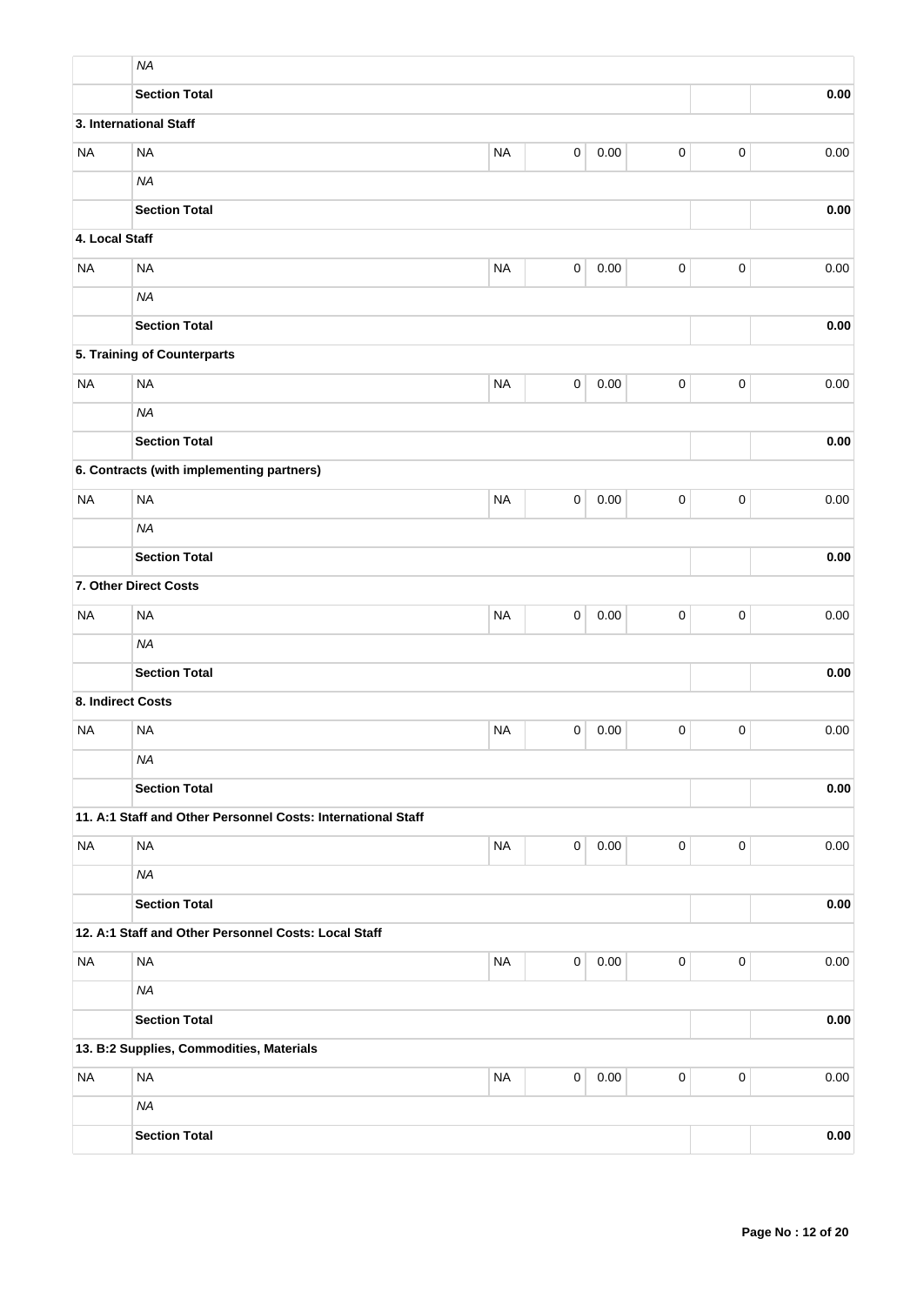|                   | <b>NA</b>                                                    |           |             |          |           |                     |      |
|-------------------|--------------------------------------------------------------|-----------|-------------|----------|-----------|---------------------|------|
|                   | <b>Section Total</b>                                         |           |             |          |           |                     | 0.00 |
|                   | 3. International Staff                                       |           |             |          |           |                     |      |
| <b>NA</b>         | <b>NA</b>                                                    | <b>NA</b> | 0           | 0.00     | $\pmb{0}$ | $\pmb{0}$           | 0.00 |
|                   | <b>NA</b>                                                    |           |             |          |           |                     |      |
|                   | <b>Section Total</b>                                         |           |             |          |           |                     | 0.00 |
| 4. Local Staff    |                                                              |           |             |          |           |                     |      |
| <b>NA</b>         | <b>NA</b>                                                    | <b>NA</b> | $\pmb{0}$   | 0.00     | $\pmb{0}$ | $\pmb{0}$           | 0.00 |
|                   | <b>NA</b>                                                    |           |             |          |           |                     |      |
|                   | <b>Section Total</b>                                         |           |             |          |           |                     | 0.00 |
|                   | 5. Training of Counterparts                                  |           |             |          |           |                     |      |
| <b>NA</b>         | <b>NA</b>                                                    | $\pmb{0}$ | $\mathbf 0$ | $0.00\,$ |           |                     |      |
|                   | <b>NA</b>                                                    |           |             |          |           |                     |      |
|                   | <b>Section Total</b>                                         |           |             | 0.00     |           |                     |      |
|                   | 6. Contracts (with implementing partners)                    |           |             |          |           |                     |      |
| <b>NA</b>         | <b>NA</b>                                                    | <b>NA</b> | 0           | 0.00     | 0         | $\pmb{0}$           | 0.00 |
|                   | <b>NA</b>                                                    |           |             |          |           |                     |      |
|                   | <b>Section Total</b>                                         |           |             |          |           |                     | 0.00 |
|                   | 7. Other Direct Costs                                        |           |             |          |           |                     |      |
| <b>NA</b>         | <b>NA</b>                                                    | <b>NA</b> | 0           | 0.00     | $\pmb{0}$ | $\pmb{0}$           | 0.00 |
|                   | <b>NA</b>                                                    |           |             |          |           |                     |      |
|                   | <b>Section Total</b>                                         |           |             |          |           |                     | 0.00 |
| 8. Indirect Costs |                                                              |           |             |          |           |                     |      |
| <b>NA</b>         | <b>NA</b>                                                    | <b>NA</b> | 0           | 0.00     | 0         | $\mathbf 0$         | 0.00 |
|                   | <b>NA</b>                                                    |           |             |          |           |                     |      |
|                   | <b>Section Total</b>                                         |           |             |          |           |                     | 0.00 |
|                   | 11. A:1 Staff and Other Personnel Costs: International Staff |           |             |          |           |                     |      |
| <b>NA</b>         | <b>NA</b>                                                    | <b>NA</b> | $\mathsf 0$ | 0.00     | $\pmb{0}$ | $\mathbf 0$         | 0.00 |
|                   | <b>NA</b>                                                    |           |             |          |           |                     |      |
|                   | <b>Section Total</b>                                         |           |             |          |           |                     | 0.00 |
|                   | 12. A:1 Staff and Other Personnel Costs: Local Staff         |           |             |          |           |                     |      |
| <b>NA</b>         | $\sf NA$                                                     | <b>NA</b> | $\mathsf 0$ | 0.00     | $\pmb{0}$ | $\mathsf{O}\xspace$ | 0.00 |
|                   | <b>NA</b>                                                    |           |             |          |           |                     |      |
|                   | <b>Section Total</b>                                         |           |             |          |           |                     | 0.00 |
|                   | 13. B:2 Supplies, Commodities, Materials                     |           |             |          |           |                     |      |
| <b>NA</b>         | <b>NA</b>                                                    | <b>NA</b> | $\mathsf 0$ | 0.00     | 0         | $\mathbf 0$         | 0.00 |
|                   | <b>NA</b>                                                    |           |             |          |           |                     |      |
|                   | <b>Section Total</b>                                         |           |             |          |           |                     | 0.00 |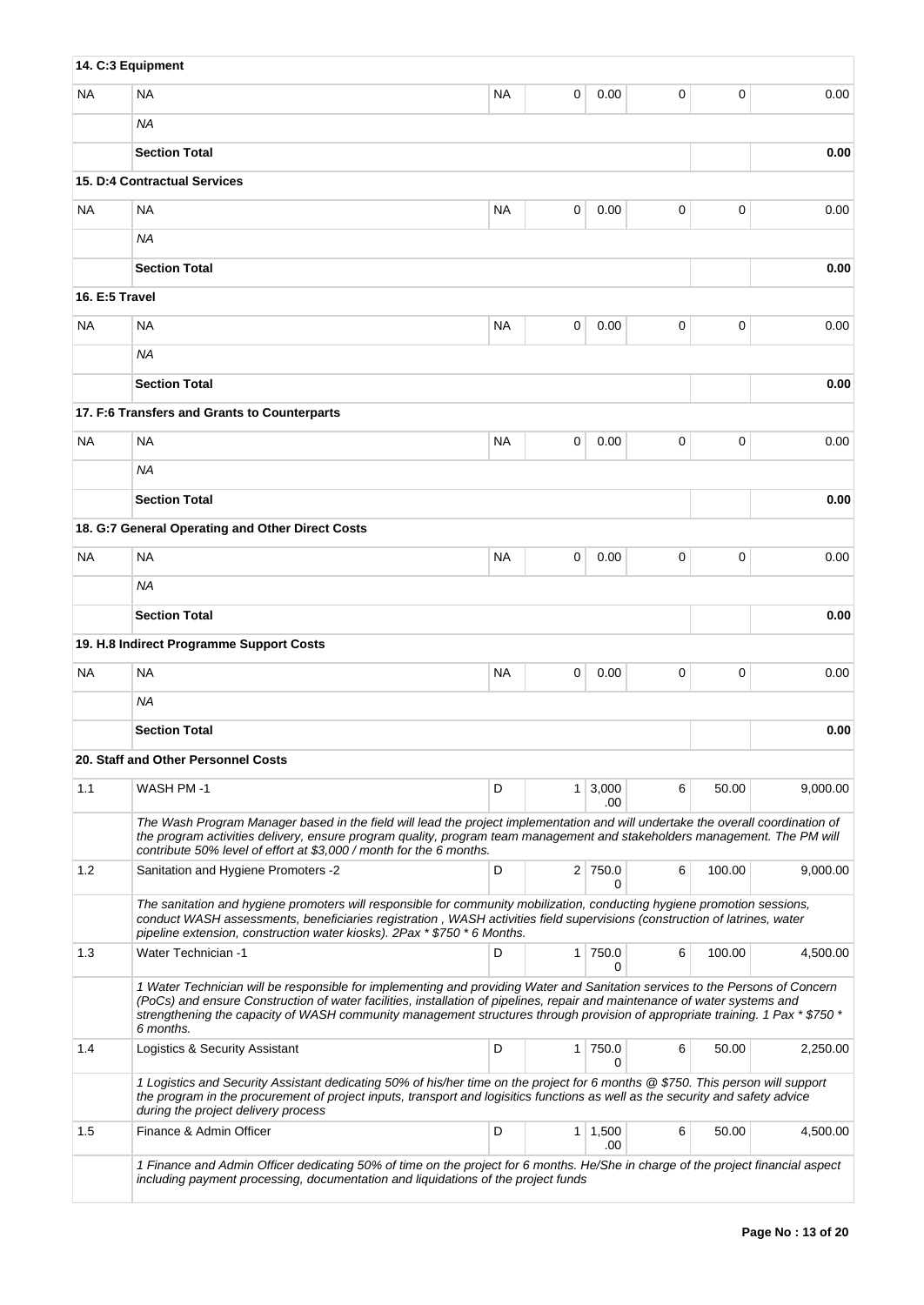|                | 14. C:3 Equipment                                                                                                                                                                                                                                                                                                                                                                                         |           |                |              |             |        |          |
|----------------|-----------------------------------------------------------------------------------------------------------------------------------------------------------------------------------------------------------------------------------------------------------------------------------------------------------------------------------------------------------------------------------------------------------|-----------|----------------|--------------|-------------|--------|----------|
| NA             | <b>NA</b>                                                                                                                                                                                                                                                                                                                                                                                                 | <b>NA</b> | 0              | 0.00         | 0           | 0      | 0.00     |
|                | ΝA                                                                                                                                                                                                                                                                                                                                                                                                        |           |                |              |             |        |          |
|                | <b>Section Total</b>                                                                                                                                                                                                                                                                                                                                                                                      |           |                |              |             |        | 0.00     |
|                | 15. D:4 Contractual Services                                                                                                                                                                                                                                                                                                                                                                              |           |                |              |             |        |          |
| NA.            | <b>NA</b>                                                                                                                                                                                                                                                                                                                                                                                                 | <b>NA</b> | 0              | 0.00         | 0           | 0      | 0.00     |
|                | ΝA                                                                                                                                                                                                                                                                                                                                                                                                        |           |                |              |             |        |          |
|                | <b>Section Total</b>                                                                                                                                                                                                                                                                                                                                                                                      |           |                |              |             |        | 0.00     |
| 16. E:5 Travel |                                                                                                                                                                                                                                                                                                                                                                                                           |           |                |              |             |        |          |
| NA.            | <b>NA</b>                                                                                                                                                                                                                                                                                                                                                                                                 | <b>NA</b> | 0              | 0.00         | $\mathbf 0$ | 0      | 0.00     |
|                | <b>NA</b>                                                                                                                                                                                                                                                                                                                                                                                                 |           |                |              |             |        |          |
|                | <b>Section Total</b>                                                                                                                                                                                                                                                                                                                                                                                      |           |                |              |             |        | 0.00     |
|                | 17. F:6 Transfers and Grants to Counterparts                                                                                                                                                                                                                                                                                                                                                              |           |                |              |             |        |          |
| ΝA             | <b>NA</b>                                                                                                                                                                                                                                                                                                                                                                                                 | <b>NA</b> | 0              | 0.00         | 0           | 0      | 0.00     |
|                | ΝA                                                                                                                                                                                                                                                                                                                                                                                                        |           |                |              |             |        |          |
|                | <b>Section Total</b>                                                                                                                                                                                                                                                                                                                                                                                      |           |                |              |             |        | 0.00     |
|                | 18. G:7 General Operating and Other Direct Costs                                                                                                                                                                                                                                                                                                                                                          |           |                |              |             |        |          |
| ΝA             | <b>NA</b>                                                                                                                                                                                                                                                                                                                                                                                                 | <b>NA</b> | 0              | 0.00         | 0           | 0      | 0.00     |
|                | ΝA                                                                                                                                                                                                                                                                                                                                                                                                        |           |                |              |             |        |          |
|                | <b>Section Total</b>                                                                                                                                                                                                                                                                                                                                                                                      |           |                |              |             |        | 0.00     |
|                | 19. H.8 Indirect Programme Support Costs                                                                                                                                                                                                                                                                                                                                                                  |           |                |              |             |        |          |
| NA.            | <b>NA</b>                                                                                                                                                                                                                                                                                                                                                                                                 | <b>NA</b> | 0              | 0.00         | 0           | 0      | 0.00     |
|                | ΝA                                                                                                                                                                                                                                                                                                                                                                                                        |           |                |              |             |        |          |
|                | <b>Section Total</b>                                                                                                                                                                                                                                                                                                                                                                                      |           |                |              |             |        | 0.00     |
|                | 20. Staff and Other Personnel Costs                                                                                                                                                                                                                                                                                                                                                                       |           |                |              |             |        |          |
| 1.1            | WASH PM-1                                                                                                                                                                                                                                                                                                                                                                                                 | D         | 1              | 3,000        | 6           | 50.00  | 9,000.00 |
|                | The Wash Program Manager based in the field will lead the project implementation and will undertake the overall coordination of<br>the program activities delivery, ensure program quality, program team management and stakeholders management. The PM will<br>contribute 50% level of effort at \$3,000 / month for the 6 months.                                                                       |           |                | .00          |             |        |          |
| 1.2            | Sanitation and Hygiene Promoters -2                                                                                                                                                                                                                                                                                                                                                                       | D         |                | 2 750.0<br>0 | 6           | 100.00 | 9,000.00 |
|                | The sanitation and hygiene promoters will responsible for community mobilization, conducting hygiene promotion sessions,<br>conduct WASH assessments, beneficiaries registration, WASH activities field supervisions (construction of latrines, water<br>pipeline extension, construction water kiosks). 2Pax * \$750 * 6 Months.                                                                         |           |                |              |             |        |          |
| 1.3            | <b>Water Technician -1</b>                                                                                                                                                                                                                                                                                                                                                                                | D         |                | 1 750.0<br>0 | 6           | 100.00 | 4,500.00 |
|                | 1 Water Technician will be responsible for implementing and providing Water and Sanitation services to the Persons of Concern<br>(PoCs) and ensure Construction of water facilities, installation of pipelines, repair and maintenance of water systems and<br>strengthening the capacity of WASH community management structures through provision of appropriate training. 1 Pax * \$750 *<br>6 months. |           |                |              |             |        |          |
| 1.4            | Logistics & Security Assistant                                                                                                                                                                                                                                                                                                                                                                            | D         | 1              | 750.0<br>0   | 6           | 50.00  | 2,250.00 |
|                | 1 Logistics and Security Assistant dedicating 50% of his/her time on the project for 6 months @ \$750. This person will support<br>the program in the procurement of project inputs, transport and logisitics functions as well as the security and safety advice<br>during the project delivery process                                                                                                  |           |                |              |             |        |          |
| 1.5            | Finance & Admin Officer                                                                                                                                                                                                                                                                                                                                                                                   | D         | 1 <sup>1</sup> | 1,500<br>.00 | 6           | 50.00  | 4,500.00 |
|                | 1 Finance and Admin Officer dedicating 50% of time on the project for 6 months. He/She in charge of the project financial aspect<br>including payment processing, documentation and liquidations of the project funds                                                                                                                                                                                     |           |                |              |             |        |          |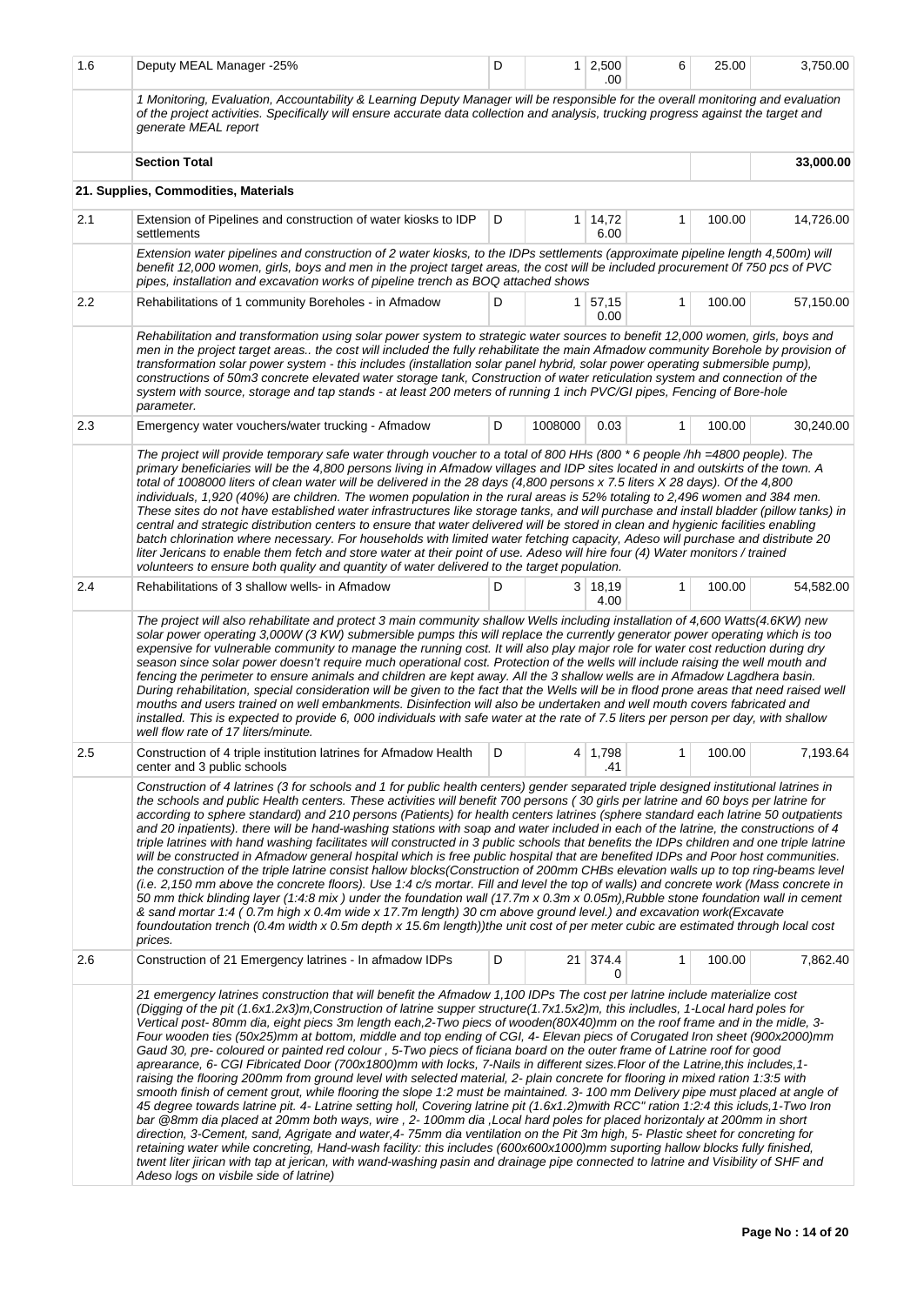| 1.6     | Deputy MEAL Manager -25%                                                                                                                                                                                                                                                                                                                                                                                                                                                                                                                                                                                                                                                                                                                                                                                                                                                                                                                                                                                                                                                                                                                                                                                                                                                                                                                                                                                                                                                                                                                                                                                                                                                                                                                                          | D | 1 <sup>1</sup> | 2,500<br>.00      | 6            | 25.00  | 3,750.00  |  |  |  |
|---------|-------------------------------------------------------------------------------------------------------------------------------------------------------------------------------------------------------------------------------------------------------------------------------------------------------------------------------------------------------------------------------------------------------------------------------------------------------------------------------------------------------------------------------------------------------------------------------------------------------------------------------------------------------------------------------------------------------------------------------------------------------------------------------------------------------------------------------------------------------------------------------------------------------------------------------------------------------------------------------------------------------------------------------------------------------------------------------------------------------------------------------------------------------------------------------------------------------------------------------------------------------------------------------------------------------------------------------------------------------------------------------------------------------------------------------------------------------------------------------------------------------------------------------------------------------------------------------------------------------------------------------------------------------------------------------------------------------------------------------------------------------------------|---|----------------|-------------------|--------------|--------|-----------|--|--|--|
|         | 1 Monitoring, Evaluation, Accountability & Learning Deputy Manager will be responsible for the overall monitoring and evaluation<br>of the project activities. Specifically will ensure accurate data collection and analysis, trucking progress against the target and<br>generate MEAL report                                                                                                                                                                                                                                                                                                                                                                                                                                                                                                                                                                                                                                                                                                                                                                                                                                                                                                                                                                                                                                                                                                                                                                                                                                                                                                                                                                                                                                                                   |   |                |                   |              |        |           |  |  |  |
|         | <b>Section Total</b>                                                                                                                                                                                                                                                                                                                                                                                                                                                                                                                                                                                                                                                                                                                                                                                                                                                                                                                                                                                                                                                                                                                                                                                                                                                                                                                                                                                                                                                                                                                                                                                                                                                                                                                                              |   |                |                   |              |        | 33,000.00 |  |  |  |
|         | 21. Supplies, Commodities, Materials                                                                                                                                                                                                                                                                                                                                                                                                                                                                                                                                                                                                                                                                                                                                                                                                                                                                                                                                                                                                                                                                                                                                                                                                                                                                                                                                                                                                                                                                                                                                                                                                                                                                                                                              |   |                |                   |              |        |           |  |  |  |
| 2.1     | Extension of Pipelines and construction of water kiosks to IDP<br>settlements                                                                                                                                                                                                                                                                                                                                                                                                                                                                                                                                                                                                                                                                                                                                                                                                                                                                                                                                                                                                                                                                                                                                                                                                                                                                                                                                                                                                                                                                                                                                                                                                                                                                                     | D | 1 <sup>1</sup> | 14,72<br>6.00     | 1            | 100.00 | 14,726.00 |  |  |  |
|         | Extension water pipelines and construction of 2 water kiosks, to the IDPs settlements (approximate pipeline length 4,500m) will<br>benefit 12,000 women, girls, boys and men in the project target areas, the cost will be included procurement 0f 750 pcs of PVC<br>pipes, installation and excavation works of pipeline trench as BOQ attached shows                                                                                                                                                                                                                                                                                                                                                                                                                                                                                                                                                                                                                                                                                                                                                                                                                                                                                                                                                                                                                                                                                                                                                                                                                                                                                                                                                                                                            |   |                |                   |              |        |           |  |  |  |
| $2.2\,$ | Rehabilitations of 1 community Boreholes - in Afmadow                                                                                                                                                                                                                                                                                                                                                                                                                                                                                                                                                                                                                                                                                                                                                                                                                                                                                                                                                                                                                                                                                                                                                                                                                                                                                                                                                                                                                                                                                                                                                                                                                                                                                                             | D |                | 1 57,15<br>0.00   | 1            | 100.00 | 57,150.00 |  |  |  |
|         | Rehabilitation and transformation using solar power system to strategic water sources to benefit 12,000 women, girls, boys and<br>men in the project target areas the cost will included the fully rehabilitate the main Afmadow community Borehole by provision of<br>transformation solar power system - this includes (installation solar panel hybrid, solar power operating submersible pump),<br>constructions of 50m3 concrete elevated water storage tank, Construction of water reticulation system and connection of the<br>system with source, storage and tap stands - at least 200 meters of running 1 inch PVC/GI pipes, Fencing of Bore-hole<br>parameter.                                                                                                                                                                                                                                                                                                                                                                                                                                                                                                                                                                                                                                                                                                                                                                                                                                                                                                                                                                                                                                                                                         |   |                |                   |              |        |           |  |  |  |
| 2.3     | Emergency water vouchers/water trucking - Afmadow                                                                                                                                                                                                                                                                                                                                                                                                                                                                                                                                                                                                                                                                                                                                                                                                                                                                                                                                                                                                                                                                                                                                                                                                                                                                                                                                                                                                                                                                                                                                                                                                                                                                                                                 | D | 1008000        | 0.03              | 1            | 100.00 | 30,240.00 |  |  |  |
|         | The project will provide temporary safe water through voucher to a total of 800 HHs (800 * 6 people /hh =4800 people). The<br>primary beneficiaries will be the 4,800 persons living in Afmadow villages and IDP sites located in and outskirts of the town. A<br>total of 1008000 liters of clean water will be delivered in the 28 days (4,800 persons x 7.5 liters X 28 days). Of the 4,800<br>individuals, 1,920 (40%) are children. The women population in the rural areas is 52% totaling to 2,496 women and 384 men.<br>These sites do not have established water infrastructures like storage tanks, and will purchase and install bladder (pillow tanks) in<br>central and strategic distribution centers to ensure that water delivered will be stored in clean and hygienic facilities enabling<br>batch chlorination where necessary. For households with limited water fetching capacity, Adeso will purchase and distribute 20<br>liter Jericans to enable them fetch and store water at their point of use. Adeso will hire four (4) Water monitors / trained<br>volunteers to ensure both quality and quantity of water delivered to the target population.                                                                                                                                                                                                                                                                                                                                                                                                                                                                                                                                                                                      |   |                |                   |              |        |           |  |  |  |
| 2.4     | Rehabilitations of 3 shallow wells- in Afmadow                                                                                                                                                                                                                                                                                                                                                                                                                                                                                                                                                                                                                                                                                                                                                                                                                                                                                                                                                                                                                                                                                                                                                                                                                                                                                                                                                                                                                                                                                                                                                                                                                                                                                                                    | D |                | 3   18,19<br>4.00 | $\mathbf{1}$ | 100.00 | 54,582.00 |  |  |  |
|         | The project will also rehabilitate and protect 3 main community shallow Wells including installation of 4,600 Watts(4.6KW) new<br>solar power operating 3,000W (3 KW) submersible pumps this will replace the currently generator power operating which is too<br>expensive for vulnerable community to manage the running cost. It will also play major role for water cost reduction during dry<br>season since solar power doesn't require much operational cost. Protection of the wells will include raising the well mouth and<br>fencing the perimeter to ensure animals and children are kept away. All the 3 shallow wells are in Afmadow Lagdhera basin.<br>During rehabilitation, special consideration will be given to the fact that the Wells will be in flood prone areas that need raised well<br>mouths and users trained on well embankments. Disinfection will also be undertaken and well mouth covers fabricated and<br>installed. This is expected to provide 6,000 individuals with safe water at the rate of 7.5 liters per person per day, with shallow<br>well flow rate of 17 liters/minute.                                                                                                                                                                                                                                                                                                                                                                                                                                                                                                                                                                                                                                           |   |                |                   |              |        |           |  |  |  |
| 2.5     | Construction of 4 triple institution latrines for Afmadow Health<br>center and 3 public schools                                                                                                                                                                                                                                                                                                                                                                                                                                                                                                                                                                                                                                                                                                                                                                                                                                                                                                                                                                                                                                                                                                                                                                                                                                                                                                                                                                                                                                                                                                                                                                                                                                                                   |   |                | 4 1,798<br>.41    | $\mathbf{1}$ | 100.00 | 7,193.64  |  |  |  |
|         | Construction of 4 latrines (3 for schools and 1 for public health centers) gender separated triple designed institutional latrines in<br>the schools and public Health centers. These activities will benefit 700 persons (30 girls per latrine and 60 boys per latrine for<br>according to sphere standard) and 210 persons (Patients) for health centers latrines (sphere standard each latrine 50 outpatients<br>and 20 inpatients). there will be hand-washing stations with soap and water included in each of the latrine, the constructions of 4<br>triple latrines with hand washing facilitates will constructed in 3 public schools that benefits the IDPs children and one triple latrine<br>will be constructed in Afmadow general hospital which is free public hospital that are benefited IDPs and Poor host communities.<br>the construction of the triple latrine consist hallow blocks(Construction of 200mm CHBs elevation walls up to top ring-beams level<br>(i.e. 2,150 mm above the concrete floors). Use 1:4 c/s mortar. Fill and level the top of walls) and concrete work (Mass concrete in<br>50 mm thick blinding layer (1:4:8 mix) under the foundation wall (17.7m x 0.3m x 0.05m), Rubble stone foundation wall in cement<br>& sand mortar 1:4 (0.7m high x 0.4m wide x 17.7m length) 30 cm above ground level.) and excavation work(Excavate<br>foundoutation trench (0.4m width x 0.5m depth x 15.6m length))the unit cost of per meter cubic are estimated through local cost                                                                                                                                                                                                                                                   |   |                |                   |              |        |           |  |  |  |
| 2.6     | Construction of 21 Emergency latrines - In afmadow IDPs                                                                                                                                                                                                                                                                                                                                                                                                                                                                                                                                                                                                                                                                                                                                                                                                                                                                                                                                                                                                                                                                                                                                                                                                                                                                                                                                                                                                                                                                                                                                                                                                                                                                                                           | D |                | 21 374.4<br>0     | 1            | 100.00 | 7,862.40  |  |  |  |
|         | 21 emergency latrines construction that will benefit the Afmadow 1,100 IDPs The cost per latrine include materialize cost<br>(Digging of the pit (1.6x1.2x3)m, Construction of latrine supper structure(1.7x1.5x2)m, this includles, 1-Local hard poles for<br>Vertical post-80mm dia, eight piecs 3m length each,2-Two piecs of wooden(80X40)mm on the roof frame and in the midle, 3-<br>Four wooden ties (50x25)mm at bottom, middle and top ending of CGI, 4- Elevan piecs of Corugated Iron sheet (900x2000)mm<br>Gaud 30, pre- coloured or painted red colour , 5-Two piecs of ficiana board on the outer frame of Latrine roof for good<br>aprearance, 6- CGI Fibricated Door (700x1800)mm with locks, 7-Nails in different sizes.Floor of the Latrine,this includes,1-<br>raising the flooring 200mm from ground level with selected material, 2- plain concrete for flooring in mixed ration 1:3:5 with<br>smooth finish of cement grout, while flooring the slope 1:2 must be maintained. 3-100 mm Delivery pipe must placed at angle of<br>45 degree towards latrine pit. 4- Latrine setting holl, Covering latrine pit (1.6x1.2)mwith RCC" ration 1:2:4 this icluds, 1-Two Iron<br>bar @8mm dia placed at 20mm both ways, wire, 2-100mm dia, Local hard poles for placed horizontaly at 200mm in short<br>direction, 3-Cement, sand, Agrigate and water,4-75mm dia ventilation on the Pit 3m high, 5- Plastic sheet for concreting for<br>retaining water while concreting, Hand-wash facility: this includes (600x600x1000)mm suporting hallow blocks fully finished,<br>twent liter jirican with tap at jerican, with wand-washing pasin and drainage pipe connected to latrine and Visibility of SHF and<br>Adeso logs on visbile side of latrine) |   |                |                   |              |        |           |  |  |  |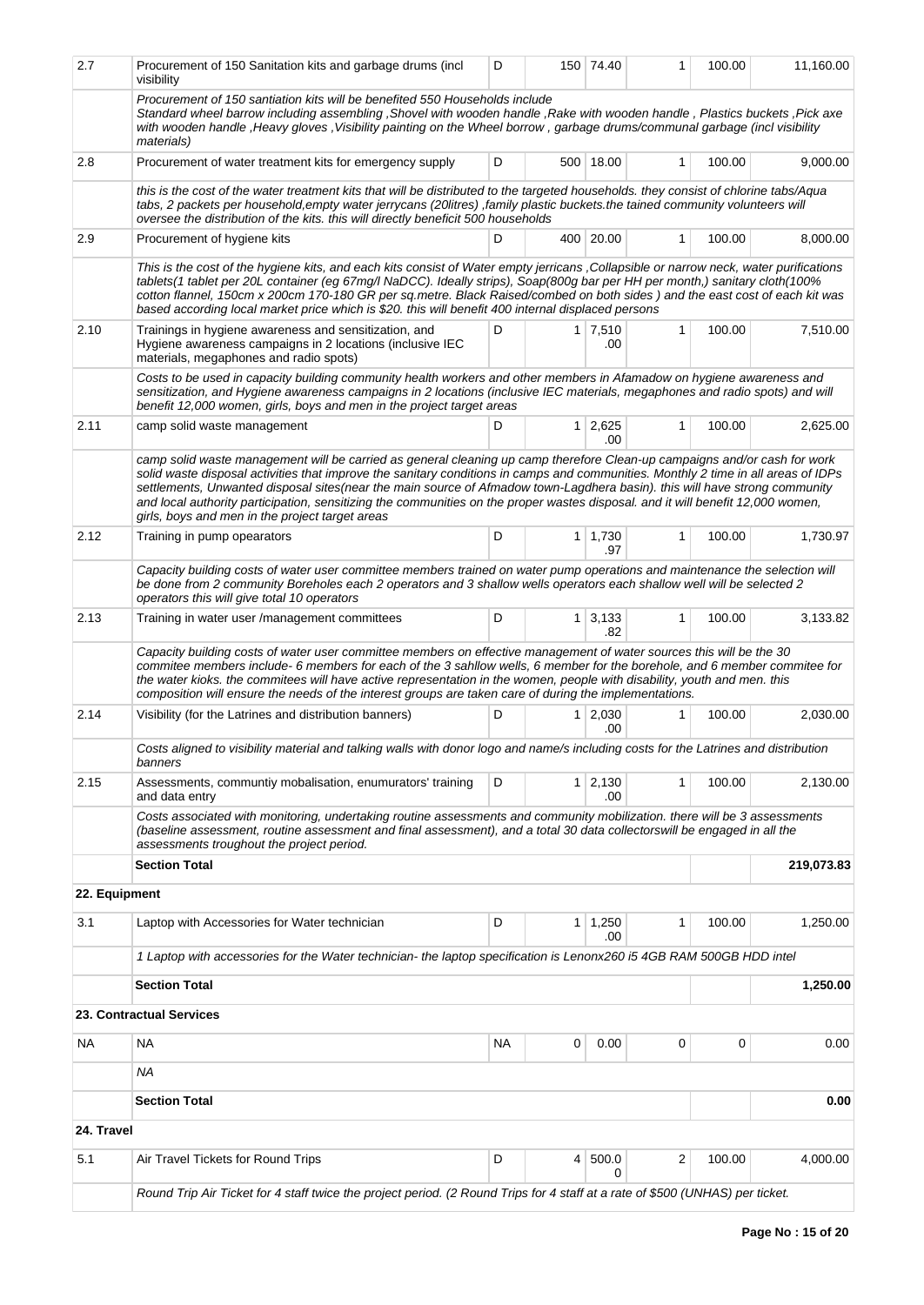| 2.7           | Procurement of 150 Sanitation kits and garbage drums (incl<br>visibility                                                                                                                                                                                                                                                                                                                                                                                                                                                                                                             | D  |   | 150 74.40             | 1            | 100.00 | 11,160.00  |
|---------------|--------------------------------------------------------------------------------------------------------------------------------------------------------------------------------------------------------------------------------------------------------------------------------------------------------------------------------------------------------------------------------------------------------------------------------------------------------------------------------------------------------------------------------------------------------------------------------------|----|---|-----------------------|--------------|--------|------------|
|               | Procurement of 150 santiation kits will be benefited 550 Households include<br>Standard wheel barrow including assembling , Shovel with wooden handle , Rake with wooden handle, Plastics buckets , Pick axe<br>with wooden handle, Heavy gloves, Visibility painting on the Wheel borrow, garbage drums/communal garbage (incl visibility<br><i>materials</i> )                                                                                                                                                                                                                     |    |   |                       |              |        |            |
| 2.8           | Procurement of water treatment kits for emergency supply                                                                                                                                                                                                                                                                                                                                                                                                                                                                                                                             | D  |   | 500 18.00             | 1            | 100.00 | 9,000.00   |
|               | this is the cost of the water treatment kits that will be distributed to the targeted households, they consist of chlorine tabs/Aqua<br>tabs, 2 packets per household, empty water jerrycans (20litres), family plastic buckets.the tained community volunteers will<br>oversee the distribution of the kits. this will directly beneficit 500 households                                                                                                                                                                                                                            |    |   |                       |              |        |            |
| 2.9           | Procurement of hygiene kits                                                                                                                                                                                                                                                                                                                                                                                                                                                                                                                                                          | D  |   | 400 20.00             | $\mathbf{1}$ | 100.00 | 8,000.00   |
|               | This is the cost of the hygiene kits, and each kits consist of Water empty jerricans , Collapsible or narrow neck, water purifications<br>tablets(1 tablet per 20L container (eg 67mg/l NaDCC). Ideally strips), Soap(800g bar per HH per month,) sanitary cloth(100%<br>cotton flannel, 150cm x 200cm 170-180 GR per sq.metre. Black Raised/combed on both sides) and the east cost of each kit was<br>based according local market price which is \$20. this will benefit 400 internal displaced persons                                                                           |    |   |                       |              |        |            |
| 2.10          | Trainings in hygiene awareness and sensitization, and<br>Hygiene awareness campaigns in 2 locations (inclusive IEC<br>materials, megaphones and radio spots)                                                                                                                                                                                                                                                                                                                                                                                                                         | D  |   | $1 \mid 7,510$<br>.00 | $\mathbf{1}$ | 100.00 | 7,510.00   |
|               | Costs to be used in capacity building community health workers and other members in Afamadow on hygiene awareness and<br>sensitization, and Hygiene awareness campaigns in 2 locations (inclusive IEC materials, megaphones and radio spots) and will<br>benefit 12,000 women, girls, boys and men in the project target areas                                                                                                                                                                                                                                                       |    |   |                       |              |        |            |
| 2.11          | camp solid waste management                                                                                                                                                                                                                                                                                                                                                                                                                                                                                                                                                          | D  |   | $1 \mid 2,625$<br>.00 | $\mathbf{1}$ | 100.00 | 2,625.00   |
|               | camp solid waste management will be carried as general cleaning up camp therefore Clean-up campaigns and/or cash for work<br>solid waste disposal activities that improve the sanitary conditions in camps and communities. Monthly 2 time in all areas of IDPs<br>settlements, Unwanted disposal sites (near the main source of Afmadow town-Lagdhera basin). this will have strong community<br>and local authority participation, sensitizing the communities on the proper wastes disposal. and it will benefit 12,000 women,<br>girls, boys and men in the project target areas |    |   |                       |              |        |            |
| 2.12          | Training in pump opearators                                                                                                                                                                                                                                                                                                                                                                                                                                                                                                                                                          | D  | 1 | 1,730<br>.97          | $\mathbf{1}$ | 100.00 | 1,730.97   |
|               | Capacity building costs of water user committee members trained on water pump operations and maintenance the selection will<br>be done from 2 community Boreholes each 2 operators and 3 shallow wells operators each shallow well will be selected 2<br>operators this will give total 10 operators                                                                                                                                                                                                                                                                                 |    |   |                       |              |        |            |
| 2.13          | Training in water user /management committees                                                                                                                                                                                                                                                                                                                                                                                                                                                                                                                                        | D  |   | $1 \mid 3,133$<br>.82 | $\mathbf{1}$ | 100.00 | 3,133.82   |
|               | Capacity building costs of water user committee members on effective management of water sources this will be the 30<br>commitee members include- 6 members for each of the 3 sahllow wells, 6 member for the borehole, and 6 member commitee for<br>the water kioks, the commitees will have active representation in the women, people with disability, youth and men, this<br>composition will ensure the needs of the interest groups are taken care of during the implementations.                                                                                              |    |   |                       |              |        |            |
| 2.14          | Visibility (for the Latrines and distribution banners)                                                                                                                                                                                                                                                                                                                                                                                                                                                                                                                               | D  |   | $1 \mid 2,030$<br>.00 | $\mathbf{1}$ | 100.00 | 2,030.00   |
|               | Costs aligned to visibility material and talking walls with donor logo and name/s including costs for the Latrines and distribution<br>banners                                                                                                                                                                                                                                                                                                                                                                                                                                       |    |   |                       |              |        |            |
| 2.15          | Assessments, communtiy mobalisation, enumurators' training<br>and data entry                                                                                                                                                                                                                                                                                                                                                                                                                                                                                                         | D  |   | $1 \mid 2,130$<br>.00 | 1            | 100.00 | 2,130.00   |
|               | Costs associated with monitoring, undertaking routine assessments and community mobilization. there will be 3 assessments<br>(baseline assessment, routine assessment and final assessment), and a total 30 data collectorswill be engaged in all the<br>assessments troughout the project period.                                                                                                                                                                                                                                                                                   |    |   |                       |              |        |            |
|               | <b>Section Total</b>                                                                                                                                                                                                                                                                                                                                                                                                                                                                                                                                                                 |    |   |                       |              |        | 219,073.83 |
| 22. Equipment |                                                                                                                                                                                                                                                                                                                                                                                                                                                                                                                                                                                      |    |   |                       |              |        |            |
| 3.1           | Laptop with Accessories for Water technician                                                                                                                                                                                                                                                                                                                                                                                                                                                                                                                                         | D  |   | $1 \mid 1,250$<br>.00 | 1            | 100.00 | 1,250.00   |
|               | 1 Laptop with accessories for the Water technician- the laptop specification is Lenonx260 i5 4GB RAM 500GB HDD intel                                                                                                                                                                                                                                                                                                                                                                                                                                                                 |    |   |                       |              |        |            |
|               | <b>Section Total</b>                                                                                                                                                                                                                                                                                                                                                                                                                                                                                                                                                                 |    |   |                       |              |        | 1,250.00   |
|               | 23. Contractual Services                                                                                                                                                                                                                                                                                                                                                                                                                                                                                                                                                             |    |   |                       |              |        |            |
| NA.           | NА                                                                                                                                                                                                                                                                                                                                                                                                                                                                                                                                                                                   | ΝA | 0 | 0.00                  | 0            | 0      | 0.00       |
|               | ΝA                                                                                                                                                                                                                                                                                                                                                                                                                                                                                                                                                                                   |    |   |                       |              |        |            |
|               | <b>Section Total</b>                                                                                                                                                                                                                                                                                                                                                                                                                                                                                                                                                                 |    |   |                       |              |        | 0.00       |
| 24. Travel    |                                                                                                                                                                                                                                                                                                                                                                                                                                                                                                                                                                                      |    |   |                       |              |        |            |
| 5.1           | Air Travel Tickets for Round Trips                                                                                                                                                                                                                                                                                                                                                                                                                                                                                                                                                   | D  | 4 | 500.0<br>0            | 2            | 100.00 | 4,000.00   |
|               | Round Trip Air Ticket for 4 staff twice the project period. (2 Round Trips for 4 staff at a rate of \$500 (UNHAS) per ticket.                                                                                                                                                                                                                                                                                                                                                                                                                                                        |    |   |                       |              |        |            |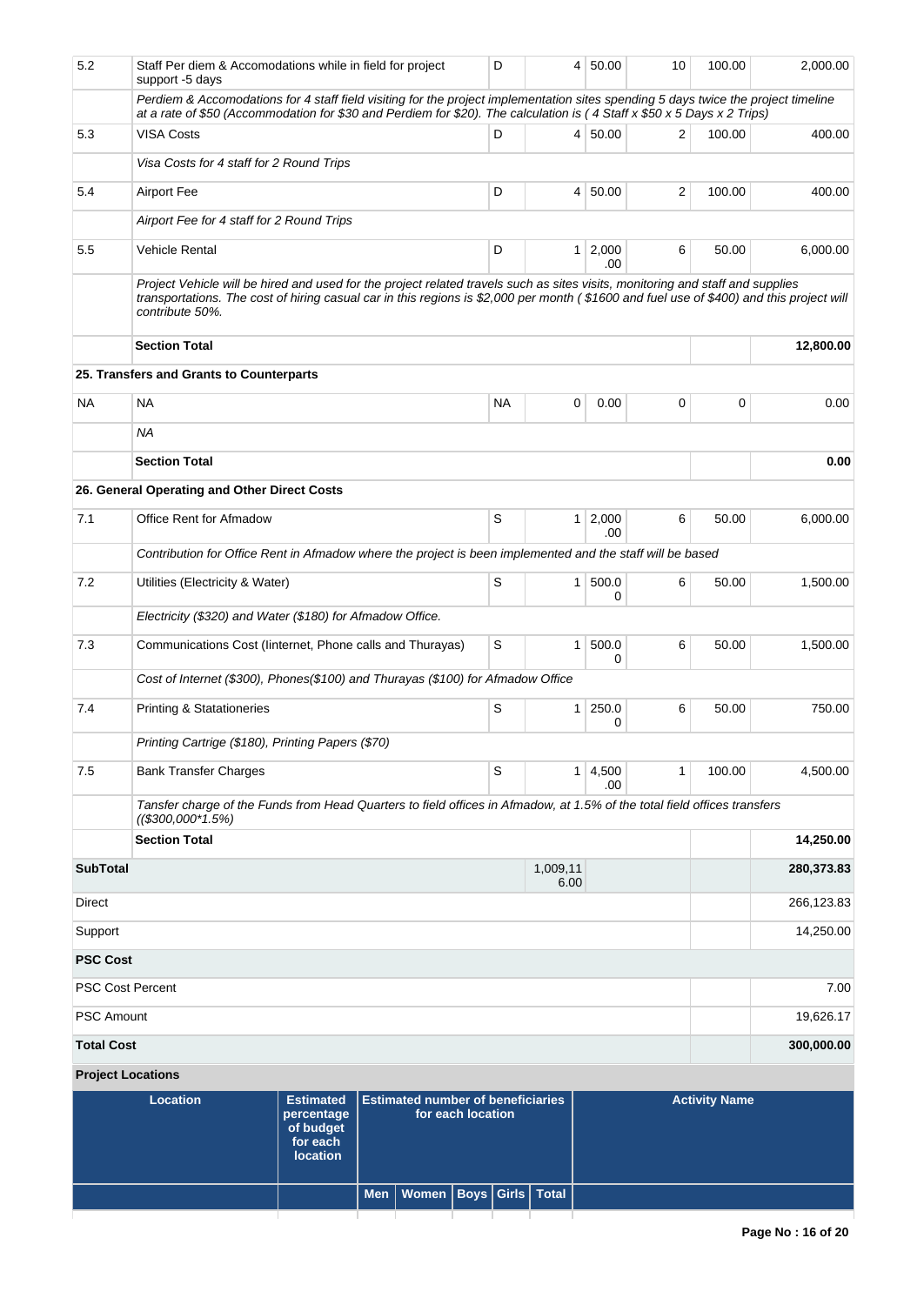| 5.2               | support -5 days                                   | Staff Per diem & Accomodations while in field for project                                                                                                                                                                                                                  | D         | 4                | 50.00          | 10    | 100.00               | 2,000.00   |
|-------------------|---------------------------------------------------|----------------------------------------------------------------------------------------------------------------------------------------------------------------------------------------------------------------------------------------------------------------------------|-----------|------------------|----------------|-------|----------------------|------------|
|                   |                                                   | Perdiem & Accomodations for 4 staff field visiting for the project implementation sites spending 5 days twice the project timeline<br>at a rate of \$50 (Accommodation for \$30 and Perdiem for \$20). The calculation is (4 Staff x \$50 x 5 Days x 2 Trips)              |           |                  |                |       |                      |            |
| 5.3               | <b>VISA Costs</b>                                 |                                                                                                                                                                                                                                                                            | D         | 4 <sup>1</sup>   | 50.00          | 2     | 100.00               | 400.00     |
|                   | Visa Costs for 4 staff for 2 Round Trips          |                                                                                                                                                                                                                                                                            |           |                  |                |       |                      |            |
| 5.4               | <b>Airport Fee</b>                                |                                                                                                                                                                                                                                                                            | D         | $\overline{4}$   | 50.00          | 2     | 100.00               | 400.00     |
|                   | Airport Fee for 4 staff for 2 Round Trips         |                                                                                                                                                                                                                                                                            |           |                  |                |       |                      |            |
| 5.5               | Vehicle Rental                                    |                                                                                                                                                                                                                                                                            | D         | 1 <sup>1</sup>   | 2,000<br>.00   | 6     | 50.00                | 6,000.00   |
|                   | contribute 50%.                                   | Project Vehicle will be hired and used for the project related travels such as sites visits, monitoring and staff and supplies<br>transportations. The cost of hiring casual car in this regions is \$2,000 per month (\$1600 and fuel use of \$400) and this project will |           |                  |                |       |                      |            |
|                   | <b>Section Total</b>                              |                                                                                                                                                                                                                                                                            |           |                  |                |       |                      | 12,800.00  |
|                   | 25. Transfers and Grants to Counterparts          |                                                                                                                                                                                                                                                                            |           |                  |                |       |                      |            |
| ΝA                | <b>NA</b>                                         |                                                                                                                                                                                                                                                                            | <b>NA</b> | 0                | 0.00           | 0     | 0                    | 0.00       |
|                   | <b>NA</b>                                         |                                                                                                                                                                                                                                                                            |           |                  |                |       |                      |            |
|                   | <b>Section Total</b>                              |                                                                                                                                                                                                                                                                            |           |                  |                |       |                      | 0.00       |
|                   | 26. General Operating and Other Direct Costs      |                                                                                                                                                                                                                                                                            |           |                  |                |       |                      |            |
| 7.1               | Office Rent for Afmadow                           | S                                                                                                                                                                                                                                                                          | 1         | 2,000<br>.00.    | 6              | 50.00 | 6,000.00             |            |
|                   |                                                   | Contribution for Office Rent in Afmadow where the project is been implemented and the staff will be based                                                                                                                                                                  |           |                  |                |       |                      |            |
| 7.2               | Utilities (Electricity & Water)                   |                                                                                                                                                                                                                                                                            | S         | 1                | 500.0<br>0     | 6     | 50.00                | 1,500.00   |
|                   |                                                   | Electricity (\$320) and Water (\$180) for Afmadow Office.                                                                                                                                                                                                                  |           |                  |                |       |                      |            |
| 7.3               |                                                   | Communications Cost (linternet, Phone calls and Thurayas)                                                                                                                                                                                                                  | S         | 1                | 500.0<br>0     | 6     | 50.00                | 1,500.00   |
|                   |                                                   | Cost of Internet (\$300), Phones(\$100) and Thurayas (\$100) for Afmadow Office                                                                                                                                                                                            |           |                  |                |       |                      |            |
| 7.4               | <b>Printing &amp; Statationeries</b>              |                                                                                                                                                                                                                                                                            | S         | 1                | 250.0<br>0     | 6     | 50.00                | 750.00     |
|                   | Printing Cartrige (\$180), Printing Papers (\$70) |                                                                                                                                                                                                                                                                            |           |                  |                |       |                      |            |
| 7.5               | <b>Bank Transfer Charges</b>                      |                                                                                                                                                                                                                                                                            | S         |                  | 1 4,500<br>.00 | 1     | 100.00               | 4,500.00   |
|                   | $(($300,000^*1.5%)$                               | Tansfer charge of the Funds from Head Quarters to field offices in Afmadow, at 1.5% of the total field offices transfers                                                                                                                                                   |           |                  |                |       |                      |            |
|                   | <b>Section Total</b>                              |                                                                                                                                                                                                                                                                            |           |                  |                |       |                      | 14,250.00  |
| <b>SubTotal</b>   |                                                   |                                                                                                                                                                                                                                                                            |           | 1,009,11<br>6.00 |                |       |                      | 280,373.83 |
| Direct            |                                                   |                                                                                                                                                                                                                                                                            |           |                  |                |       |                      | 266,123.83 |
| Support           |                                                   |                                                                                                                                                                                                                                                                            |           |                  |                |       |                      | 14,250.00  |
| <b>PSC Cost</b>   |                                                   |                                                                                                                                                                                                                                                                            |           |                  |                |       |                      |            |
|                   | <b>PSC Cost Percent</b>                           |                                                                                                                                                                                                                                                                            |           |                  |                |       |                      | 7.00       |
| <b>PSC Amount</b> |                                                   |                                                                                                                                                                                                                                                                            |           |                  |                |       |                      | 19,626.17  |
| <b>Total Cost</b> |                                                   |                                                                                                                                                                                                                                                                            |           |                  |                |       |                      | 300,000.00 |
|                   | <b>Project Locations</b>                          |                                                                                                                                                                                                                                                                            |           |                  |                |       |                      |            |
|                   | <b>Location</b>                                   | <b>Estimated</b><br><b>Estimated number of beneficiaries</b><br>for each location<br>percentage                                                                                                                                                                            |           |                  |                |       | <b>Activity Name</b> |            |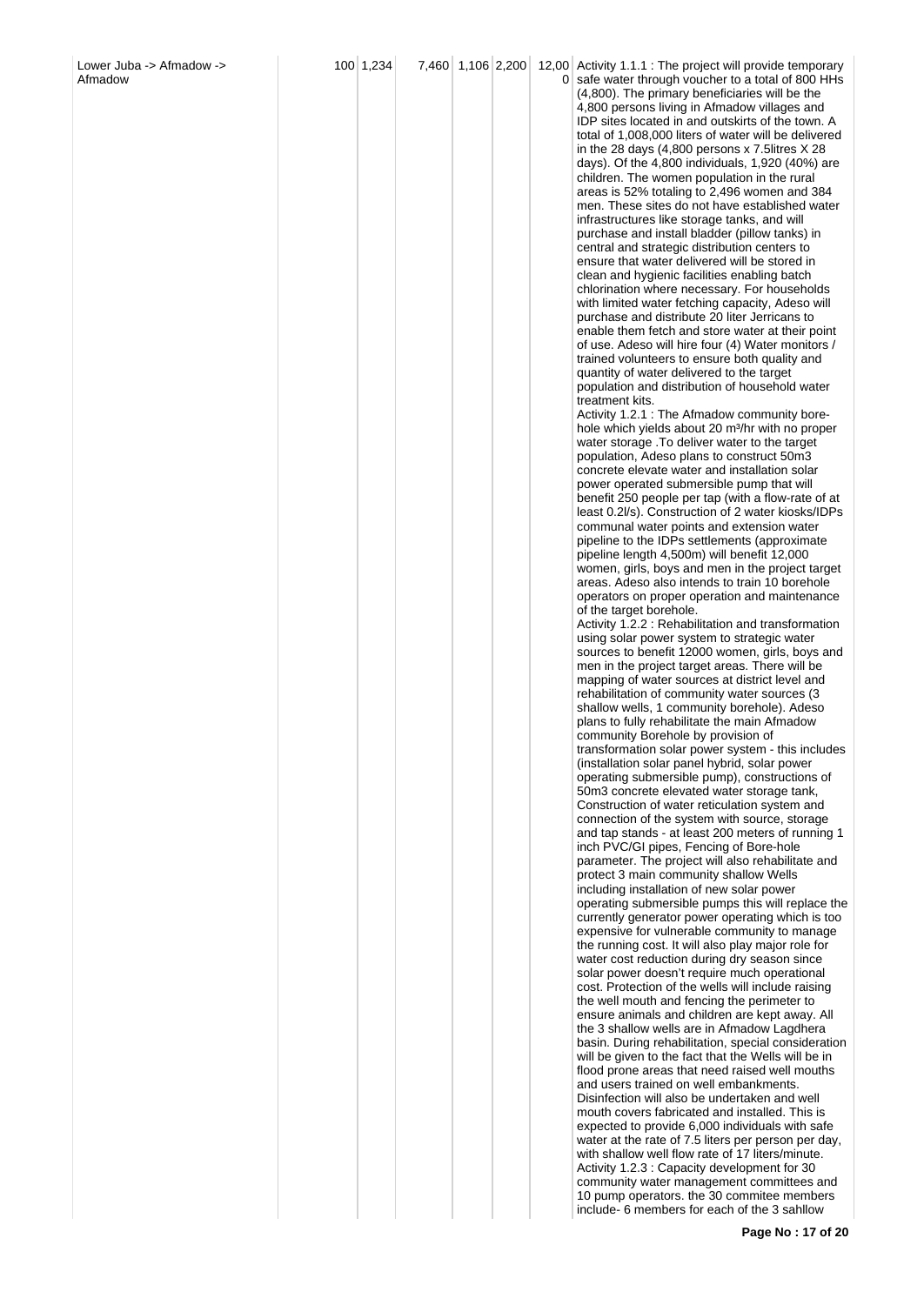| 100 1,234 | 7,460 1,106 2,200 |  | 12,00 Activity 1.1.1 : The project will provide temporary<br>0 safe water through voucher to a total of 800 HHs<br>(4,800). The primary beneficiaries will be the<br>4,800 persons living in Afmadow villages and<br>IDP sites located in and outskirts of the town. A<br>total of 1,008,000 liters of water will be delivered<br>in the 28 days (4,800 persons x 7.5litres X 28<br>days). Of the 4,800 individuals, 1,920 $(40%)$ are<br>children. The women population in the rural<br>areas is 52% totaling to 2,496 women and 384<br>men. These sites do not have established water<br>infrastructures like storage tanks, and will<br>purchase and install bladder (pillow tanks) in<br>central and strategic distribution centers to<br>ensure that water delivered will be stored in<br>clean and hygienic facilities enabling batch<br>chlorination where necessary. For households<br>with limited water fetching capacity, Adeso will<br>purchase and distribute 20 liter Jerricans to<br>enable them fetch and store water at their point<br>of use. Adeso will hire four (4) Water monitors /<br>trained volunteers to ensure both quality and<br>quantity of water delivered to the target<br>population and distribution of household water<br>treatment kits.<br>Activity 1.2.1 : The Afmadow community bore-<br>hole which yields about 20 m <sup>3</sup> /hr with no proper<br>water storage. To deliver water to the target<br>population, Adeso plans to construct 50m3<br>concrete elevate water and installation solar<br>power operated submersible pump that will<br>benefit 250 people per tap (with a flow-rate of at<br>least 0.2l/s). Construction of 2 water kiosks/IDPs<br>communal water points and extension water<br>pipeline to the IDPs settlements (approximate<br>pipeline length 4,500m) will benefit 12,000<br>women, girls, boys and men in the project target<br>areas. Adeso also intends to train 10 borehole<br>operators on proper operation and maintenance<br>of the target borehole.<br>Activity 1.2.2 : Rehabilitation and transformation<br>using solar power system to strategic water<br>sources to benefit 12000 women, girls, boys and<br>men in the project target areas. There will be<br>mapping of water sources at district level and<br>rehabilitation of community water sources (3<br>shallow wells, 1 community borehole). Adeso<br>plans to fully rehabilitate the main Afmadow<br>community Borehole by provision of<br>transformation solar power system - this includes<br>(installation solar panel hybrid, solar power<br>operating submersible pump), constructions of<br>50m3 concrete elevated water storage tank,<br>Construction of water reticulation system and<br>connection of the system with source, storage<br>and tap stands - at least 200 meters of running 1<br>inch PVC/GI pipes, Fencing of Bore-hole<br>parameter. The project will also rehabilitate and<br>protect 3 main community shallow Wells<br>including installation of new solar power<br>operating submersible pumps this will replace the<br>currently generator power operating which is too<br>expensive for vulnerable community to manage<br>the running cost. It will also play major role for<br>water cost reduction during dry season since<br>solar power doesn't require much operational<br>cost. Protection of the wells will include raising<br>the well mouth and fencing the perimeter to<br>ensure animals and children are kept away. All<br>the 3 shallow wells are in Afmadow Lagdhera<br>basin. During rehabilitation, special consideration<br>will be given to the fact that the Wells will be in<br>flood prone areas that need raised well mouths<br>and users trained on well embankments.<br>Disinfection will also be undertaken and well<br>mouth covers fabricated and installed. This is<br>expected to provide 6,000 individuals with safe<br>water at the rate of 7.5 liters per person per day,<br>with shallow well flow rate of 17 liters/minute. |
|-----------|-------------------|--|-----------------------------------------------------------------------------------------------------------------------------------------------------------------------------------------------------------------------------------------------------------------------------------------------------------------------------------------------------------------------------------------------------------------------------------------------------------------------------------------------------------------------------------------------------------------------------------------------------------------------------------------------------------------------------------------------------------------------------------------------------------------------------------------------------------------------------------------------------------------------------------------------------------------------------------------------------------------------------------------------------------------------------------------------------------------------------------------------------------------------------------------------------------------------------------------------------------------------------------------------------------------------------------------------------------------------------------------------------------------------------------------------------------------------------------------------------------------------------------------------------------------------------------------------------------------------------------------------------------------------------------------------------------------------------------------------------------------------------------------------------------------------------------------------------------------------------------------------------------------------------------------------------------------------------------------------------------------------------------------------------------------------------------------------------------------------------------------------------------------------------------------------------------------------------------------------------------------------------------------------------------------------------------------------------------------------------------------------------------------------------------------------------------------------------------------------------------------------------------------------------------------------------------------------------------------------------------------------------------------------------------------------------------------------------------------------------------------------------------------------------------------------------------------------------------------------------------------------------------------------------------------------------------------------------------------------------------------------------------------------------------------------------------------------------------------------------------------------------------------------------------------------------------------------------------------------------------------------------------------------------------------------------------------------------------------------------------------------------------------------------------------------------------------------------------------------------------------------------------------------------------------------------------------------------------------------------------------------------------------------------------------------------------------------------------------------------------------------------------------------------------------------------------------------------------------------------------------------------------------------------------------------------------------------------------------------------------------------------------------------------------------------------------------|
|           |                   |  | Activity 1.2.3 : Capacity development for 30<br>community water management committees and                                                                                                                                                                                                                                                                                                                                                                                                                                                                                                                                                                                                                                                                                                                                                                                                                                                                                                                                                                                                                                                                                                                                                                                                                                                                                                                                                                                                                                                                                                                                                                                                                                                                                                                                                                                                                                                                                                                                                                                                                                                                                                                                                                                                                                                                                                                                                                                                                                                                                                                                                                                                                                                                                                                                                                                                                                                                                                                                                                                                                                                                                                                                                                                                                                                                                                                                                                                                                                                                                                                                                                                                                                                                                                                                                                                                                                                                                                                                               |

**Page No : 17 of 20**

10 pump operators. the 30 commitee members include-6 members for each of the 3 sahllow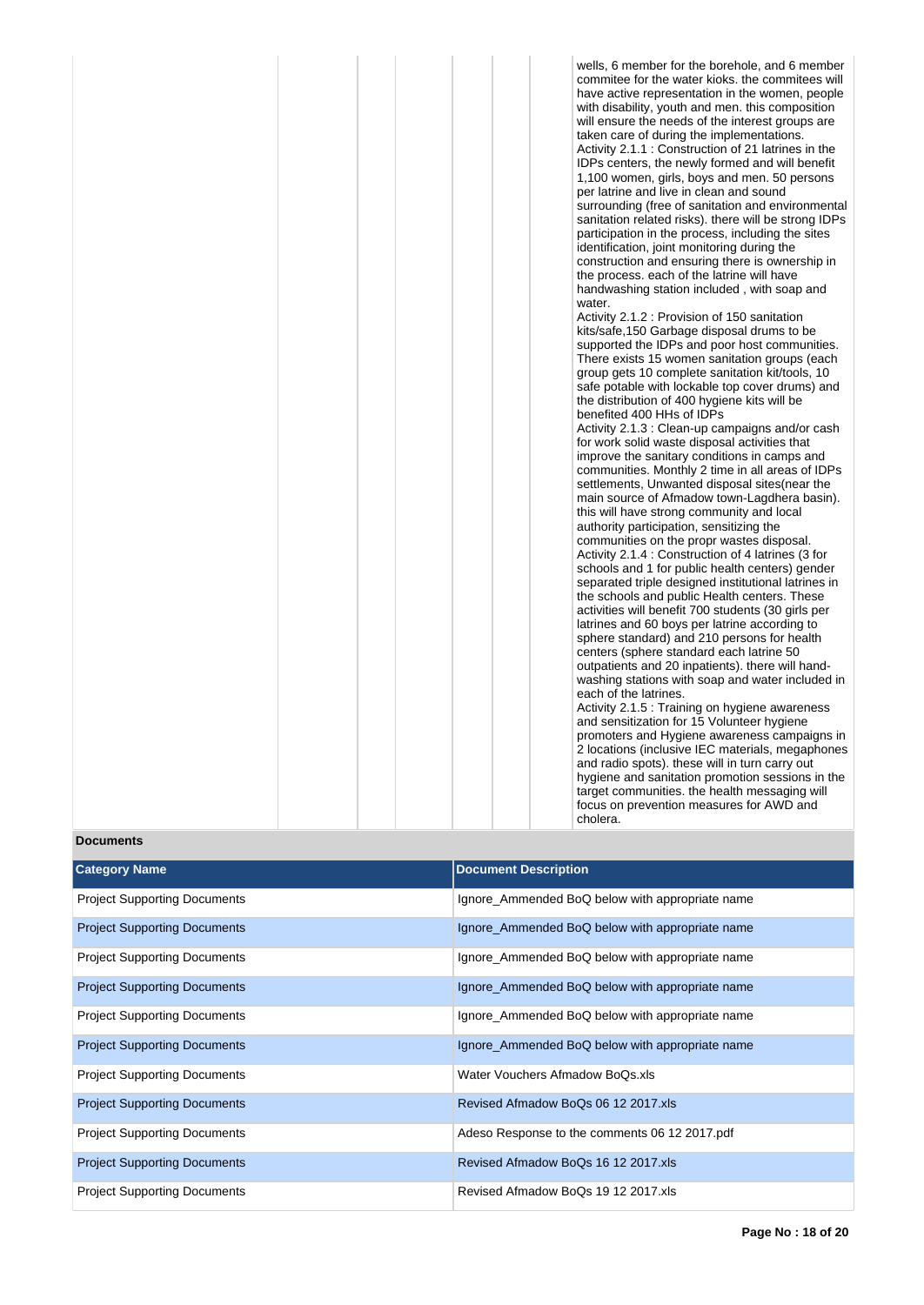wells, 6 member for the borehole, and 6 member commitee for the water kioks. the commitees will have active representation in the women, people with disability, youth and men. this composition will ensure the needs of the interest groups are taken care of during the implementations. Activity 2.1.1 : Construction of 21 latrines in the IDPs centers, the newly formed and will benefit 1,100 women, girls, boys and men. 50 persons per latrine and live in clean and sound surrounding (free of sanitation and environmental sanitation related risks). there will be strong IDPs participation in the process, including the sites identification, joint monitoring during the construction and ensuring there is ownership in the process. each of the latrine will have handwashing station included , with soap and water.

Activity 2.1.2 : Provision of 150 sanitation kits/safe,150 Garbage disposal drums to be supported the IDPs and poor host communities. There exists 15 women sanitation groups (each group gets 10 complete sanitation kit/tools, 10 safe potable with lockable top cover drums) and the distribution of 400 hygiene kits will be benefited 400 HHs of IDPs

Activity 2.1.3 : Clean-up campaigns and/or cash for work solid waste disposal activities that improve the sanitary conditions in camps and communities. Monthly 2 time in all areas of IDPs settlements, Unwanted disposal sites(near the main source of Afmadow town-Lagdhera basin). this will have strong community and local authority participation, sensitizing the communities on the propr wastes disposal. Activity 2.1.4 : Construction of 4 latrines (3 for schools and 1 for public health centers) gender separated triple designed institutional latrines in the schools and public Health centers. These activities will benefit 700 students (30 girls per latrines and 60 boys per latrine according to sphere standard) and 210 persons for health centers (sphere standard each latrine 50 outpatients and 20 inpatients). there will handwashing stations with soap and water included in each of the latrines. Activity 2.1.5 : Training on hygiene awareness

and sensitization for 15 Volunteer hygiene promoters and Hygiene awareness campaigns in 2 locations (inclusive IEC materials, megaphones and radio spots). these will in turn carry out hygiene and sanitation promotion sessions in the target communities. the health messaging will focus on prevention measures for AWD and cholera.

### **Documents**

| <b>Category Name</b>                | <b>Document Description</b>                     |
|-------------------------------------|-------------------------------------------------|
| <b>Project Supporting Documents</b> | Ignore_Ammended BoQ below with appropriate name |
| <b>Project Supporting Documents</b> | Ignore_Ammended BoQ below with appropriate name |
| <b>Project Supporting Documents</b> | Ignore_Ammended BoQ below with appropriate name |
| <b>Project Supporting Documents</b> | Ignore_Ammended BoQ below with appropriate name |
| <b>Project Supporting Documents</b> | Ignore_Ammended BoQ below with appropriate name |
| <b>Project Supporting Documents</b> | Ignore_Ammended BoQ below with appropriate name |
| <b>Project Supporting Documents</b> | Water Vouchers Afmadow BoQs.xls                 |
| <b>Project Supporting Documents</b> | Revised Afmadow BoQs 06 12 2017.xls             |
| <b>Project Supporting Documents</b> | Adeso Response to the comments 06 12 2017.pdf   |
| <b>Project Supporting Documents</b> | Revised Afmadow BoQs 16 12 2017.xls             |
| <b>Project Supporting Documents</b> | Revised Afmadow BoQs 19 12 2017.xls             |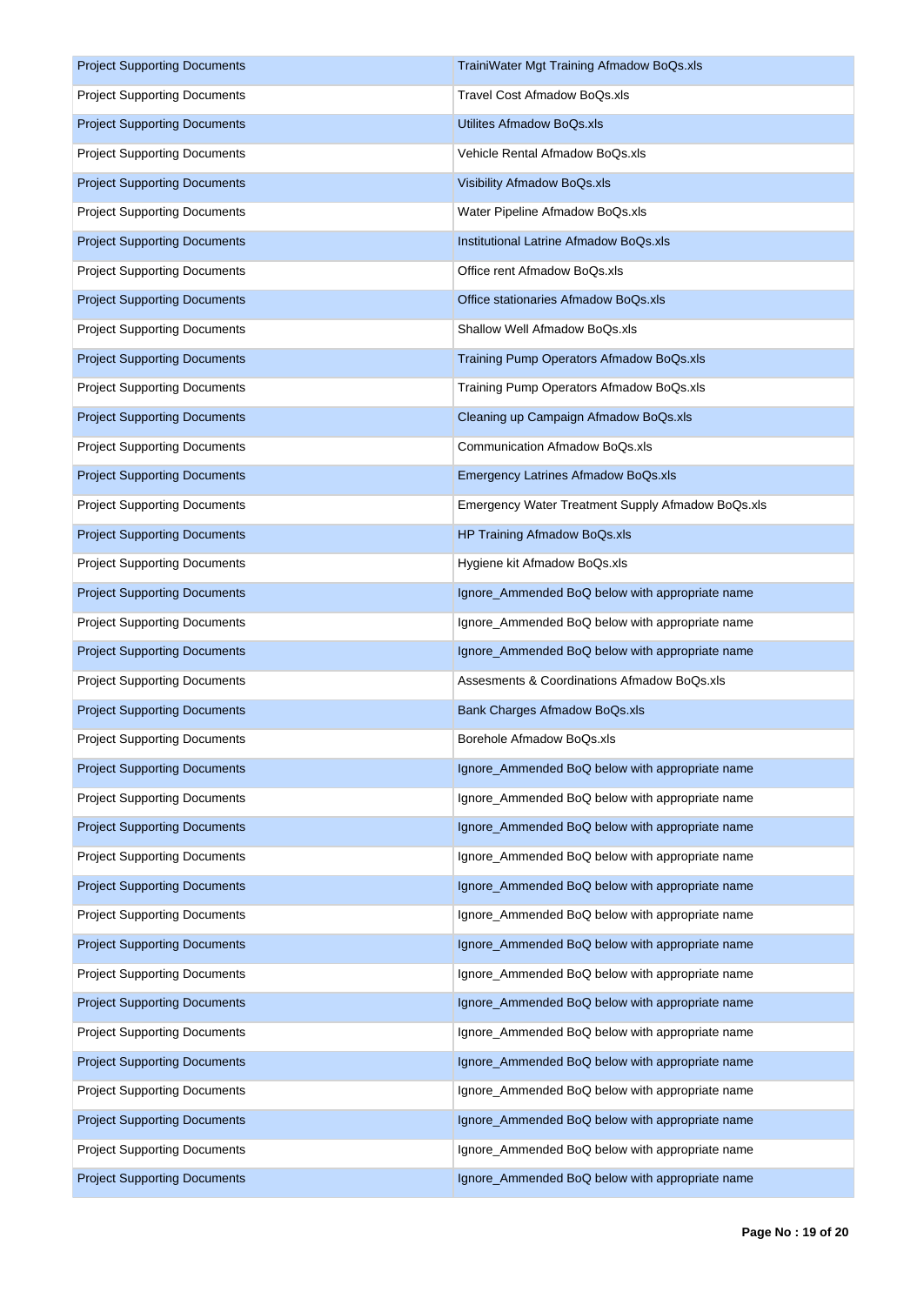| <b>Project Supporting Documents</b> | TrainiWater Mgt Training Afmadow BoQs.xls         |
|-------------------------------------|---------------------------------------------------|
| <b>Project Supporting Documents</b> | Travel Cost Afmadow BoQs.xls                      |
| <b>Project Supporting Documents</b> | Utilites Afmadow BoQs.xls                         |
| <b>Project Supporting Documents</b> | Vehicle Rental Afmadow BoQs.xls                   |
| <b>Project Supporting Documents</b> | Visibility Afmadow BoQs.xls                       |
| <b>Project Supporting Documents</b> | Water Pipeline Afmadow BoQs.xls                   |
| <b>Project Supporting Documents</b> | Institutional Latrine Afmadow BoQs.xls            |
| <b>Project Supporting Documents</b> | Office rent Afmadow BoQs.xls                      |
| <b>Project Supporting Documents</b> | Office stationaries Afmadow BoQs.xls              |
| <b>Project Supporting Documents</b> | Shallow Well Afmadow BoQs.xls                     |
| <b>Project Supporting Documents</b> | Training Pump Operators Afmadow BoQs.xls          |
| <b>Project Supporting Documents</b> | Training Pump Operators Afmadow BoQs.xls          |
| <b>Project Supporting Documents</b> | Cleaning up Campaign Afmadow BoQs.xls             |
| <b>Project Supporting Documents</b> | <b>Communication Afmadow BoQs.xls</b>             |
| <b>Project Supporting Documents</b> | Emergency Latrines Afmadow BoQs.xls               |
| <b>Project Supporting Documents</b> | Emergency Water Treatment Supply Afmadow BoQs.xls |
| <b>Project Supporting Documents</b> | HP Training Afmadow BoQs.xls                      |
| <b>Project Supporting Documents</b> | Hygiene kit Afmadow BoQs.xls                      |
| <b>Project Supporting Documents</b> | Ignore_Ammended BoQ below with appropriate name   |
| <b>Project Supporting Documents</b> | Ignore_Ammended BoQ below with appropriate name   |
| <b>Project Supporting Documents</b> | Ignore_Ammended BoQ below with appropriate name   |
| <b>Project Supporting Documents</b> | Assesments & Coordinations Afmadow BoQs.xls       |
| <b>Project Supporting Documents</b> | Bank Charges Afmadow BoQs.xls                     |
| <b>Project Supporting Documents</b> | Borehole Afmadow BoQs.xls                         |
| <b>Project Supporting Documents</b> | Ignore_Ammended BoQ below with appropriate name   |
| <b>Project Supporting Documents</b> | Ignore_Ammended BoQ below with appropriate name   |
| <b>Project Supporting Documents</b> | Ignore_Ammended BoQ below with appropriate name   |
| <b>Project Supporting Documents</b> | Ignore_Ammended BoQ below with appropriate name   |
| <b>Project Supporting Documents</b> | Ignore_Ammended BoQ below with appropriate name   |
| <b>Project Supporting Documents</b> | Ignore_Ammended BoQ below with appropriate name   |
| <b>Project Supporting Documents</b> | Ignore_Ammended BoQ below with appropriate name   |
| <b>Project Supporting Documents</b> | Ignore_Ammended BoQ below with appropriate name   |
| <b>Project Supporting Documents</b> | Ignore_Ammended BoQ below with appropriate name   |
| <b>Project Supporting Documents</b> | Ignore_Ammended BoQ below with appropriate name   |
| <b>Project Supporting Documents</b> | Ignore_Ammended BoQ below with appropriate name   |
| <b>Project Supporting Documents</b> | Ignore_Ammended BoQ below with appropriate name   |
| <b>Project Supporting Documents</b> | Ignore_Ammended BoQ below with appropriate name   |
| <b>Project Supporting Documents</b> | Ignore_Ammended BoQ below with appropriate name   |
| <b>Project Supporting Documents</b> | Ignore_Ammended BoQ below with appropriate name   |